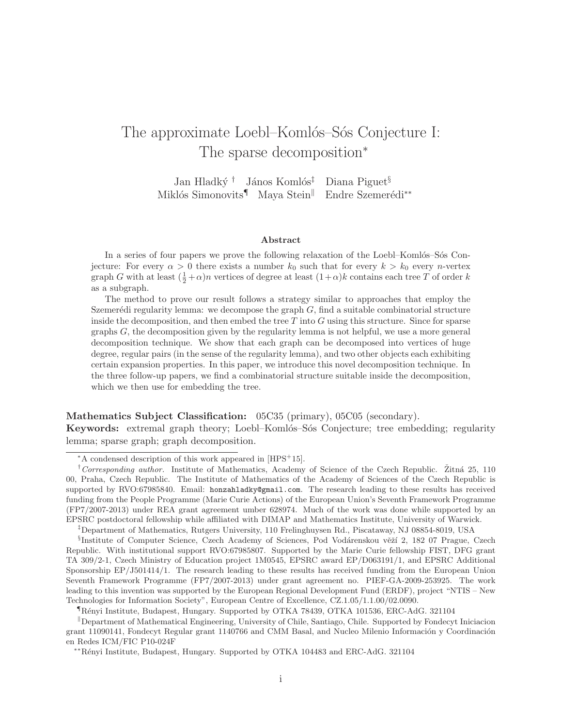# The approximate Loebl–Komlós–Sós Conjecture I: The sparse decomposition<sup>∗</sup>

Jan Hladký † János Komlós<sup>‡</sup> Diana Piguet<sup>§</sup> Miklós Simonovits<sup>¶</sup> Maya Stein<sup>∥</sup> Endre Szemerédi<sup>∗∗</sup>

#### Abstract

In a series of four papers we prove the following relaxation of the Loebl–Komlós–Sós Conjecture: For every  $\alpha > 0$  there exists a number  $k_0$  such that for every  $k > k_0$  every n-vertex graph G with at least  $(\frac{1}{2} + \alpha)n$  vertices of degree at least  $(1 + \alpha)k$  contains each tree T of order k as a subgraph.

The method to prove our result follows a strategy similar to approaches that employ the Szemerédi regularity lemma: we decompose the graph  $G$ , find a suitable combinatorial structure inside the decomposition, and then embed the tree  $T$  into  $G$  using this structure. Since for sparse graphs  $G$ , the decomposition given by the regularity lemma is not helpful, we use a more general decomposition technique. We show that each graph can be decomposed into vertices of huge degree, regular pairs (in the sense of the regularity lemma), and two other objects each exhibiting certain expansion properties. In this paper, we introduce this novel decomposition technique. In the three follow-up papers, we find a combinatorial structure suitable inside the decomposition, which we then use for embedding the tree.

#### Mathematics Subject Classification: 05C35 (primary), 05C05 (secondary).

Keywords: extremal graph theory; Loebl–Komlós–Sós Conjecture; tree embedding; regularity lemma; sparse graph; graph decomposition.

<sup>∗</sup>A condensed description of this work appeared in [HPS<sup>+</sup>15].

<sup>&</sup>lt;sup>†</sup>Corresponding author. Institute of Mathematics, Academy of Science of the Czech Republic. Žitná 25, 110 00, Praha, Czech Republic. The Institute of Mathematics of the Academy of Sciences of the Czech Republic is supported by RVO:67985840. Email: honzahladky@gmail.com. The research leading to these results has received funding from the People Programme (Marie Curie Actions) of the European Union's Seventh Framework Programme (FP7/2007-2013) under REA grant agreement umber 628974. Much of the work was done while supported by an EPSRC postdoctoral fellowship while affiliated with DIMAP and Mathematics Institute, University of Warwick.

<sup>‡</sup>Department of Mathematics, Rutgers University, 110 Frelinghuysen Rd., Piscataway, NJ 08854-8019, USA

<sup>§</sup>Institute of Computer Science, Czech Academy of Sciences, Pod Vodárenskou věží 2, 182 07 Prague, Czech Republic. With institutional support RVO:67985807. Supported by the Marie Curie fellowship FIST, DFG grant TA 309/2-1, Czech Ministry of Education project 1M0545, EPSRC award EP/D063191/1, and EPSRC Additional Sponsorship EP/J501414/1. The research leading to these results has received funding from the European Union Seventh Framework Programme (FP7/2007-2013) under grant agreement no. PIEF-GA-2009-253925. The work leading to this invention was supported by the European Regional Development Fund (ERDF), project "NTIS – New Technologies for Information Society", European Centre of Excellence, CZ.1.05/1.1.00/02.0090.

<sup>¶</sup>R´enyi Institute, Budapest, Hungary. Supported by OTKA 78439, OTKA 101536, ERC-AdG. 321104

 $\Box$ Department of Mathematical Engineering, University of Chile, Santiago, Chile. Supported by Fondecyt Iniciacion grant 11090141, Fondecyt Regular grant 1140766 and CMM Basal, and Nucleo Milenio Información y Coordinación en Redes ICM/FIC P10-024F

<sup>∗∗</sup>R´enyi Institute, Budapest, Hungary. Supported by OTKA 104483 and ERC-AdG. 321104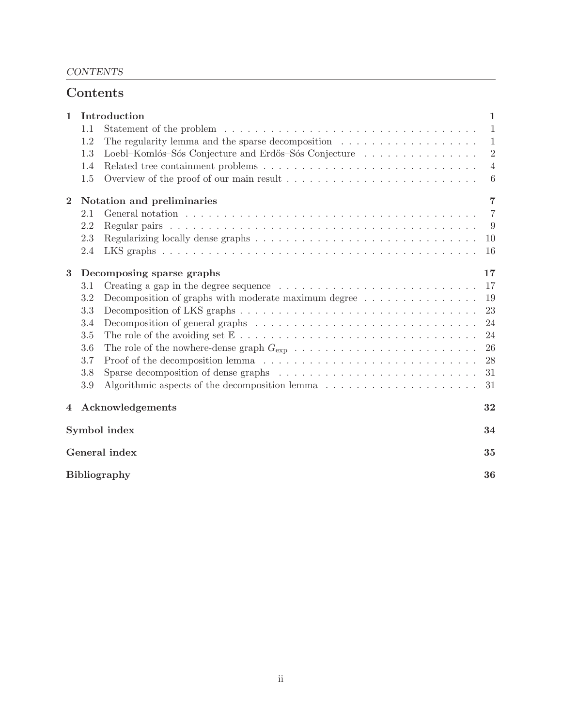# Contents

| $\mathbf{1}$              | Introduction<br>1               |                                                                                                         |                |  |  |  |  |
|---------------------------|---------------------------------|---------------------------------------------------------------------------------------------------------|----------------|--|--|--|--|
|                           | 1.1                             |                                                                                                         | $\mathbf{1}$   |  |  |  |  |
|                           | 1.2                             | The regularity lemma and the sparse decomposition $\dots \dots \dots \dots \dots \dots \dots$           | $\mathbf{1}$   |  |  |  |  |
|                           | 1.3                             | Loebl-Komlós-Sós Conjecture and Erdős-Sós Conjecture                                                    | $\sqrt{2}$     |  |  |  |  |
|                           | 1.4                             |                                                                                                         | $\overline{4}$ |  |  |  |  |
|                           | 1.5                             |                                                                                                         | 6              |  |  |  |  |
| $\bf{2}$                  |                                 | $\overline{7}$<br>Notation and preliminaries                                                            |                |  |  |  |  |
|                           | 2.1                             |                                                                                                         | $\overline{7}$ |  |  |  |  |
|                           | 2.2                             |                                                                                                         | 9              |  |  |  |  |
|                           | 2.3                             |                                                                                                         | 10             |  |  |  |  |
|                           | 2.4                             |                                                                                                         | 16             |  |  |  |  |
| 3                         | 17<br>Decomposing sparse graphs |                                                                                                         |                |  |  |  |  |
|                           | 3.1                             | Creating a gap in the degree sequence $\dots \dots \dots \dots \dots \dots \dots \dots \dots \dots$     | 17             |  |  |  |  |
|                           | 3.2                             | Decomposition of graphs with moderate maximum degree $\dots \dots \dots \dots \dots$                    | 19             |  |  |  |  |
|                           | 3.3                             |                                                                                                         | 23             |  |  |  |  |
|                           | 3.4                             | Decomposition of general graphs $\ldots \ldots \ldots \ldots \ldots \ldots \ldots \ldots \ldots \ldots$ | 24             |  |  |  |  |
|                           | 3.5                             |                                                                                                         | 24             |  |  |  |  |
|                           | 3.6                             |                                                                                                         | 26             |  |  |  |  |
|                           | 3.7                             |                                                                                                         | 28             |  |  |  |  |
|                           | 3.8                             | Sparse decomposition of dense graphs $\ldots \ldots \ldots \ldots \ldots \ldots \ldots \ldots \ldots$   | 31             |  |  |  |  |
|                           | 3.9                             |                                                                                                         | 31             |  |  |  |  |
| 4                         |                                 | Acknowledgements                                                                                        | 32             |  |  |  |  |
|                           | Symbol index<br>34              |                                                                                                         |                |  |  |  |  |
|                           | General index<br>35             |                                                                                                         |                |  |  |  |  |
|                           |                                 |                                                                                                         |                |  |  |  |  |
| <b>Bibliography</b><br>36 |                                 |                                                                                                         |                |  |  |  |  |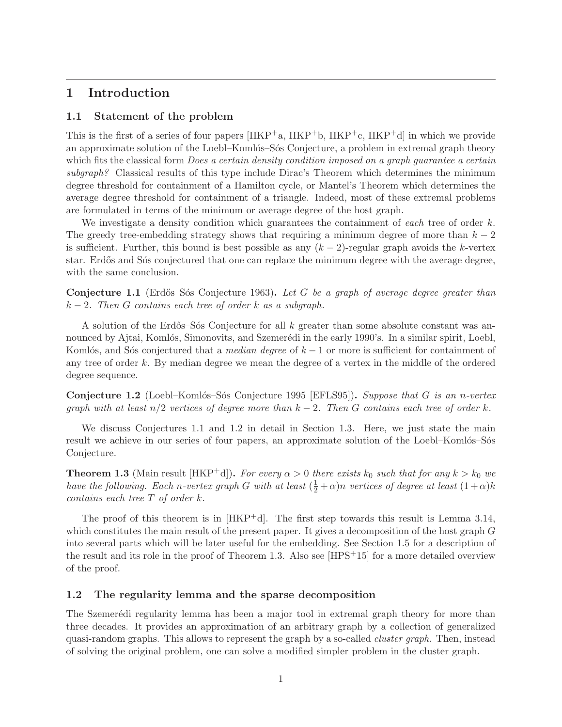# 1 Introduction

# 1.1 Statement of the problem

This is the first of a series of four papers  $[HKP^+a, HKP^+b, HKP^+c, HKP^+d]$  in which we provide an approximate solution of the Loebl–Komlós–Sós Conjecture, a problem in extremal graph theory which fits the classical form *Does a certain density condition imposed on a graph guarantee a certain subgraph?* Classical results of this type include Dirac's Theorem which determines the minimum degree threshold for containment of a Hamilton cycle, or Mantel's Theorem which determines the average degree threshold for containment of a triangle. Indeed, most of these extremal problems are formulated in terms of the minimum or average degree of the host graph.

We investigate a density condition which guarantees the containment of *each* tree of order k. The greedy tree-embedding strategy shows that requiring a minimum degree of more than  $k-2$ is sufficient. Further, this bound is best possible as any  $(k-2)$ -regular graph avoids the k-vertex star. Erdős and Sós conjectured that one can replace the minimum degree with the average degree, with the same conclusion.

Conjecture 1.1 (Erd˝os–S´os Conjecture 1963). *Let* G *be a graph of average degree greater than* k − 2*. Then* G *contains each tree of order* k *as a subgraph.*

A solution of the Erdős–S $\acute{\text{o}}$ s Conjecture for all k greater than some absolute constant was announced by Ajtai, Komlós, Simonovits, and Szemerédi in the early 1990's. In a similar spirit, Loebl, Komlós, and Sós conjectured that a *median degree* of k − 1 or more is sufficient for containment of any tree of order k. By median degree we mean the degree of a vertex in the middle of the ordered degree sequence.

Conjecture 1.2 (Loebl–Komlós–Sós Conjecture 1995 [EFLS95]). *Suppose that* G *is an n-vertex graph with at least* n/2 *vertices of degree more than* k − 2*. Then* G *contains each tree of order* k*.*

We discuss Conjectures 1.1 and 1.2 in detail in Section 1.3. Here, we just state the main result we achieve in our series of four papers, an approximate solution of the Loebl–Komlós–Sós Conjecture.

**Theorem 1.3** (Main result [HKP<sup>+</sup>d]). *For every*  $\alpha > 0$  *there exists*  $k_0$  *such that for any*  $k > k_0$  *we have the following. Each n*-vertex graph G with at least  $(\frac{1}{2} + \alpha)n$  vertices of degree at least  $(1 + \alpha)k$ *contains each tree* T *of order* k*.*

The proof of this theorem is in  $[HKP^+d]$ . The first step towards this result is Lemma 3.14, which constitutes the main result of the present paper. It gives a decomposition of the host graph G into several parts which will be later useful for the embedding. See Section 1.5 for a description of the result and its role in the proof of Theorem 1.3. Also see  $[HPS+15]$  for a more detailed overview of the proof.

## 1.2 The regularity lemma and the sparse decomposition

The Szemere<sup>d</sup>i regularity lemma has been a major tool in extremal graph theory for more than three decades. It provides an approximation of an arbitrary graph by a collection of generalized quasi-random graphs. This allows to represent the graph by a so-called *cluster graph*. Then, instead of solving the original problem, one can solve a modified simpler problem in the cluster graph.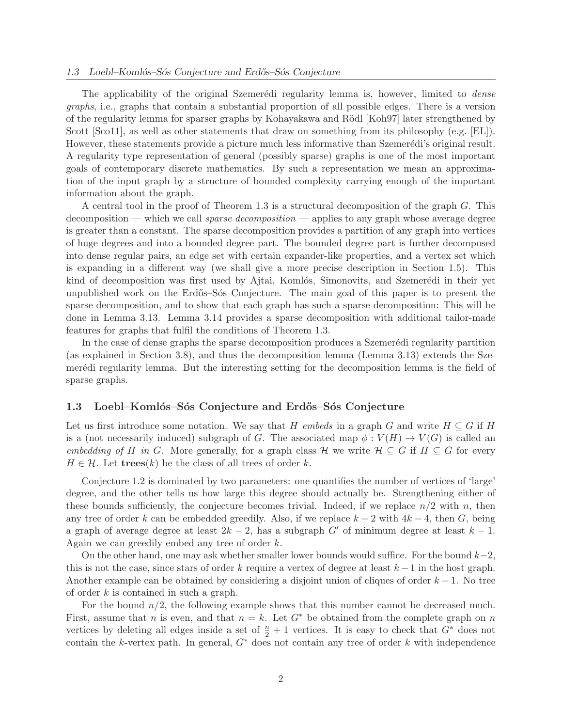The applicability of the original Szemerédi regularity lemma is, however, limited to *dense graphs*, i.e., graphs that contain a substantial proportion of all possible edges. There is a version of the regularity lemma for sparser graphs by Kohayakawa and R¨odl [Koh97] later strengthened by Scott [Sco11], as well as other statements that draw on something from its philosophy (e.g. [EL]). However, these statements provide a picture much less informative than Szemerédi's original result. A regularity type representation of general (possibly sparse) graphs is one of the most important goals of contemporary discrete mathematics. By such a representation we mean an approximation of the input graph by a structure of bounded complexity carrying enough of the important information about the graph.

A central tool in the proof of Theorem 1.3 is a structural decomposition of the graph G. This decomposition — which we call *sparse decomposition* — applies to any graph whose average degree is greater than a constant. The sparse decomposition provides a partition of any graph into vertices of huge degrees and into a bounded degree part. The bounded degree part is further decomposed into dense regular pairs, an edge set with certain expander-like properties, and a vertex set which is expanding in a different way (we shall give a more precise description in Section 1.5). This kind of decomposition was first used by Ajtai, Komlós, Simonovits, and Szemerédi in their yet unpublished work on the Erdős–Sós Conjecture. The main goal of this paper is to present the sparse decomposition, and to show that each graph has such a sparse decomposition: This will be done in Lemma 3.13. Lemma 3.14 provides a sparse decomposition with additional tailor-made features for graphs that fulfil the conditions of Theorem 1.3.

In the case of dense graphs the sparse decomposition produces a Szemerédi regularity partition (as explained in Section 3.8), and thus the decomposition lemma (Lemma 3.13) extends the Szemerédi regularity lemma. But the interesting setting for the decomposition lemma is the field of sparse graphs.

### 1.3 Loebl–Komlós–Sós Conjecture and Erdős–Sós Conjecture

Let us first introduce some notation. We say that H *embeds* in a graph G and write  $H \subseteq G$  if H is a (not necessarily induced) subgraph of G. The associated map  $\phi: V(H) \to V(G)$  is called an *embedding of* H *in* G. More generally, for a graph class H we write  $H \subseteq G$  if  $H \subseteq G$  for every  $H \in \mathcal{H}$ . Let **trees**(k) be the class of all trees of order k.

Conjecture 1.2 is dominated by two parameters: one quantifies the number of vertices of 'large' degree, and the other tells us how large this degree should actually be. Strengthening either of these bounds sufficiently, the conjecture becomes trivial. Indeed, if we replace  $n/2$  with n, then any tree of order k can be embedded greedily. Also, if we replace  $k - 2$  with  $4k - 4$ , then G, being a graph of average degree at least  $2k - 2$ , has a subgraph G' of minimum degree at least  $k - 1$ . Again we can greedily embed any tree of order k.

On the other hand, one may ask whether smaller lower bounds would suffice. For the bound  $k-2$ , this is not the case, since stars of order k require a vertex of degree at least  $k-1$  in the host graph. Another example can be obtained by considering a disjoint union of cliques of order  $k - 1$ . No tree of order k is contained in such a graph.

For the bound  $n/2$ , the following example shows that this number cannot be decreased much. First, assume that n is even, and that  $n = k$ . Let  $G^*$  be obtained from the complete graph on n vertices by deleting all edges inside a set of  $\frac{n}{2} + 1$  vertices. It is easy to check that  $G^*$  does not contain the k-vertex path. In general,  $G^*$  does not contain any tree of order k with independence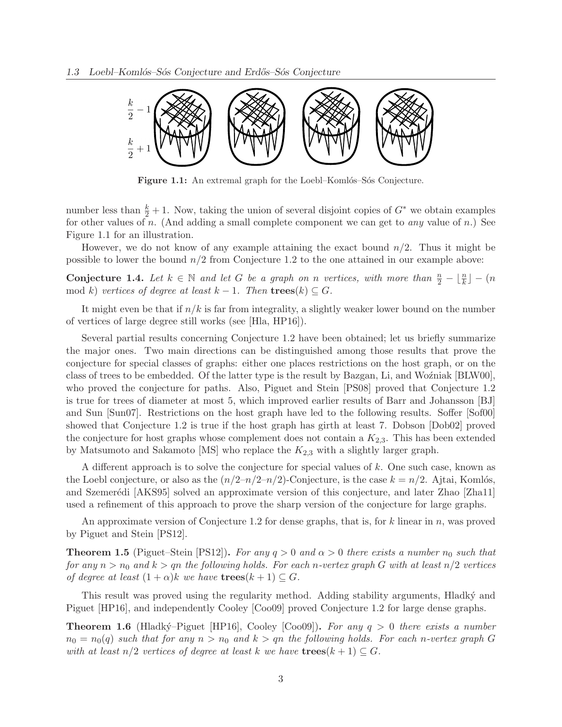

Figure 1.1: An extremal graph for the Loebl–Komlós–Sós Conjecture.

number less than  $\frac{k}{2} + 1$ . Now, taking the union of several disjoint copies of  $G^*$  we obtain examples for other values of n. (And adding a small complete component we can get to *any* value of n.) See Figure 1.1 for an illustration.

However, we do not know of any example attaining the exact bound  $n/2$ . Thus it might be possible to lower the bound  $n/2$  from Conjecture 1.2 to the one attained in our example above:

**Conjecture 1.4.** Let  $k \in \mathbb{N}$  and let G be a graph on n vertices, with more than  $\frac{n}{2} - \lfloor \frac{n}{k} \rfloor - (n)$ mod k) *vertices of degree at least*  $k - 1$ *. Then*  $\mathbf{trees}(k) \subseteq G$ *.* 

It might even be that if  $n/k$  is far from integrality, a slightly weaker lower bound on the number of vertices of large degree still works (see [Hla, HP16]).

Several partial results concerning Conjecture 1.2 have been obtained; let us briefly summarize the major ones. Two main directions can be distinguished among those results that prove the conjecture for special classes of graphs: either one places restrictions on the host graph, or on the class of trees to be embedded. Of the latter type is the result by Bazgan, Li, and Wozniak [BLW00], who proved the conjecture for paths. Also, Piguet and Stein [PS08] proved that Conjecture 1.2 is true for trees of diameter at most 5, which improved earlier results of Barr and Johansson [BJ] and Sun [Sun07]. Restrictions on the host graph have led to the following results. Soffer [Sof00] showed that Conjecture 1.2 is true if the host graph has girth at least 7. Dobson [Dob02] proved the conjecture for host graphs whose complement does not contain a  $K_{2,3}$ . This has been extended by Matsumoto and Sakamoto  $[MS]$  who replace the  $K_{2,3}$  with a slightly larger graph.

A different approach is to solve the conjecture for special values of k. One such case, known as the Loebl conjecture, or also as the  $(n/2-n/2-n/2)$ -Conjecture, is the case  $k = n/2$ . Ajtai, Komlós, and Szemerédi [AKS95] solved an approximate version of this conjecture, and later Zhao [Zha11] used a refinement of this approach to prove the sharp version of the conjecture for large graphs.

An approximate version of Conjecture 1.2 for dense graphs, that is, for k linear in n, was proved by Piguet and Stein [PS12].

**Theorem 1.5** (Piguet–Stein [PS12]). For any  $q > 0$  and  $\alpha > 0$  there exists a number  $n_0$  such that *for any*  $n > n_0$  *and*  $k > q$ *n the following holds. For each n-vertex graph* G *with at least*  $n/2$  *vertices of degree at least*  $(1 + \alpha)k$  *we have*  $\mathbf{trees}(k+1) \subseteq G$ *.* 

This result was proved using the regularity method. Adding stability arguments, Hladky and Piguet [HP16], and independently Cooley [Coo09] proved Conjecture 1.2 for large dense graphs.

**Theorem 1.6** (Hladký–Piguet [HP16], Cooley [Coo09]). For any  $q > 0$  there exists a number  $n_0 = n_0(q)$  such that for any  $n > n_0$  and  $k > q$ n the following holds. For each n-vertex graph G *with at least*  $n/2$  *vertices of degree at least* k *we have*  $\mathbf{trees}(k+1) \subseteq G$ *.*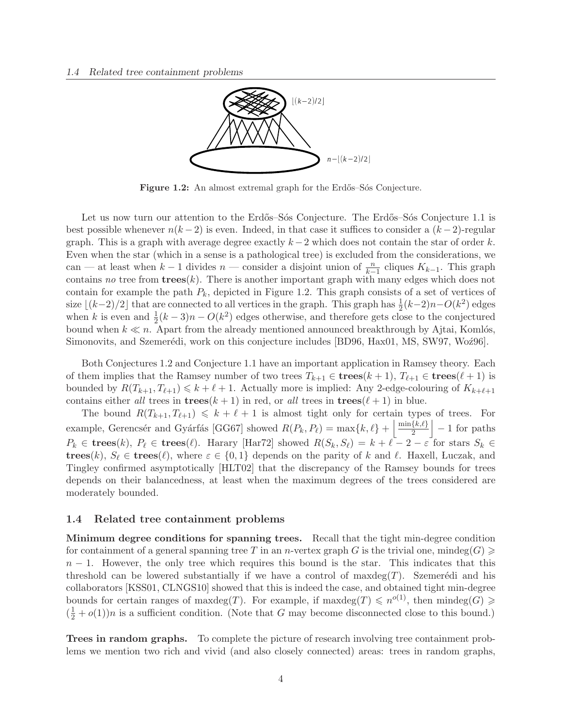

Figure 1.2: An almost extremal graph for the Erdős–Sós Conjecture.

Let us now turn our attention to the Erdős–Sós Conjecture. The Erdős–Sós Conjecture 1.1 is best possible whenever  $n(k-2)$  is even. Indeed, in that case it suffices to consider a  $(k-2)$ -regular graph. This is a graph with average degree exactly  $k-2$  which does not contain the star of order k. Even when the star (which in a sense is a pathological tree) is excluded from the considerations, we can — at least when  $k-1$  divides  $n$  — consider a disjoint union of  $\frac{n}{k-1}$  cliques  $K_{k-1}$ . This graph contains *no* tree from  $\mathbf{trees}(k)$ . There is another important graph with many edges which does not contain for example the path  $P_k$ , depicted in Figure 1.2. This graph consists of a set of vertices of size  $\lfloor (k-2)/2 \rfloor$  that are connected to all vertices in the graph. This graph has  $\frac{1}{2}$  $\frac{1}{2}(k-2)n-O(k^2)$  edges when k is even and  $\frac{1}{2}(k-3)n - O(k^2)$  edges otherwise, and therefore gets close to the conjectured bound when  $k \ll n$ . Apart from the already mentioned announced breakthrough by Ajtai, Komlós, Simonovits, and Szemerédi, work on this conjecture includes [BD96, Hax01, MS, SW97, Woz96].

Both Conjectures 1.2 and Conjecture 1.1 have an important application in Ramsey theory. Each of them implies that the Ramsey number of two trees  $T_{k+1} \in \mathbf{trees}(k+1)$ ,  $T_{\ell+1} \in \mathbf{trees}(\ell+1)$  is bounded by  $R(T_{k+1}, T_{\ell+1}) \leq k+\ell+1$ . Actually more is implied: Any 2-edge-colouring of  $K_{k+\ell+1}$ contains either *all* trees in **trees** $(k + 1)$  in red, or *all* trees in **trees** $(\ell + 1)$  in blue.

The bound  $R(T_{k+1}, T_{\ell+1}) \leq k + \ell + 1$  is almost tight only for certain types of trees. For example, Gerencsér and Gyárfás [GG67] showed  $R(P_k, P_\ell) = \max\{k, \ell\} + \left\lfloor \frac{\min\{k, \ell\}}{2} \right\rfloor$  $\frac{\{k,\ell\}}{2}$  - 1 for paths  $P_k \in \mathbf{trees}(k), P_\ell \in \mathbf{trees}(\ell).$  Harary [Har72] showed  $R(S_k, S_\ell) = k + \ell - 2 - \varepsilon$  for stars  $S_k \in$ trees(k),  $S_{\ell} \in \text{trees}(\ell)$ , where  $\varepsilon \in \{0,1\}$  depends on the parity of k and  $\ell$ . Haxell, Luczak, and Tingley confirmed asymptotically [HLT02] that the discrepancy of the Ramsey bounds for trees depends on their balancedness, at least when the maximum degrees of the trees considered are moderately bounded.

## 1.4 Related tree containment problems

Minimum degree conditions for spanning trees. Recall that the tight min-degree condition for containment of a general spanning tree T in an n-vertex graph G is the trivial one, mindeg( $G \geq$  $n-1$ . However, the only tree which requires this bound is the star. This indicates that this threshold can be lowered substantially if we have a control of maxdeg $(T)$ . Szemerédi and his collaborators [KSS01, CLNGS10] showed that this is indeed the case, and obtained tight min-degree bounds for certain ranges of maxdeg(T). For example, if  $\maxdeg(T) \leqslant n^{o(1)}$ , then  $\mindeg(G) \geqslant$  $(\frac{1}{2} + o(1))n$  is a sufficient condition. (Note that G may become disconnected close to this bound.)

Trees in random graphs. To complete the picture of research involving tree containment problems we mention two rich and vivid (and also closely connected) areas: trees in random graphs,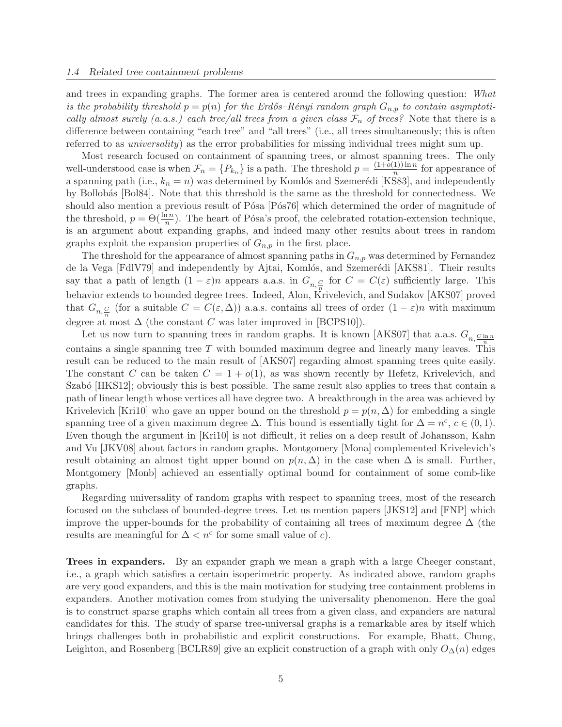and trees in expanding graphs. The former area is centered around the following question: *What is the probability threshold*  $p = p(n)$  *for the Erdős–Rényi random graph*  $G_{n,p}$  *to contain asymptotically almost surely (a.a.s.) each tree/all trees from a given class*  $\mathcal{F}_n$  *of trees?* Note that there is a difference between containing "each tree" and "all trees" (i.e., all trees simultaneously; this is often referred to as *universality*) as the error probabilities for missing individual trees might sum up.

Most research focused on containment of spanning trees, or almost spanning trees. The only well-understood case is when  $\mathcal{F}_n = \{P_{k_n}\}\$ is a path. The threshold  $p = \frac{(1+\tilde{o}(1))\ln n}{n}$  $\frac{1}{n}$  for appearance of a spanning path (i.e.,  $k_n = n$ ) was determined by Komlós and Szemerédi [KS83], and independently by Bollobás [Bol84]. Note that this threshold is the same as the threshold for connectedness. We should also mention a previous result of Pósa [Pós76] which determined the order of magnitude of the threshold,  $p = \Theta(\frac{\ln n}{n})$ . The heart of Pósa's proof, the celebrated rotation-extension technique, is an argument about expanding graphs, and indeed many other results about trees in random graphs exploit the expansion properties of  $G_{n,p}$  in the first place.

The threshold for the appearance of almost spanning paths in  $G_{n,p}$  was determined by Fernandez de la Vega [FdlV79] and independently by Ajtai, Komlós, and Szemerédi [AKS81]. Their results say that a path of length  $(1 - \varepsilon)n$  appears a.a.s. in  $G_{n, \frac{C}{n}}$  for  $C = C(\varepsilon)$  sufficiently large. This behavior extends to bounded degree trees. Indeed, Alon, Krivelevich, and Sudakov [AKS07] proved that  $G_{n,\frac{C}{n}}$  (for a suitable  $C = C(\varepsilon,\Delta)$ ) a.a.s. contains all trees of order  $(1-\varepsilon)n$  with maximum degree at most  $\Delta$  (the constant C was later improved in [BCPS10]).

Let us now turn to spanning trees in random graphs. It is known [AKS07] that a.a.s.  $G_{n,\underline{C \ln n}}$ contains a single spanning tree T with bounded maximum degree and linearly many leaves. This result can be reduced to the main result of [AKS07] regarding almost spanning trees quite easily. The constant C can be taken  $C = 1 + o(1)$ , as was shown recently by Hefetz, Krivelevich, and Szabó [HKS12]; obviously this is best possible. The same result also applies to trees that contain a path of linear length whose vertices all have degree two. A breakthrough in the area was achieved by Krivelevich [Kri10] who gave an upper bound on the threshold  $p = p(n, \Delta)$  for embedding a single spanning tree of a given maximum degree  $\Delta$ . This bound is essentially tight for  $\Delta = n^c, c \in (0, 1)$ . Even though the argument in [Kri10] is not difficult, it relies on a deep result of Johansson, Kahn and Vu [JKV08] about factors in random graphs. Montgomery [Mona] complemented Krivelevich's result obtaining an almost tight upper bound on  $p(n, \Delta)$  in the case when  $\Delta$  is small. Further, Montgomery [Monb] achieved an essentially optimal bound for containment of some comb-like graphs.

Regarding universality of random graphs with respect to spanning trees, most of the research focused on the subclass of bounded-degree trees. Let us mention papers [JKS12] and [FNP] which improve the upper-bounds for the probability of containing all trees of maximum degree ∆ (the results are meaningful for  $\Delta < n^c$  for some small value of c).

Trees in expanders. By an expander graph we mean a graph with a large Cheeger constant, i.e., a graph which satisfies a certain isoperimetric property. As indicated above, random graphs are very good expanders, and this is the main motivation for studying tree containment problems in expanders. Another motivation comes from studying the universality phenomenon. Here the goal is to construct sparse graphs which contain all trees from a given class, and expanders are natural candidates for this. The study of sparse tree-universal graphs is a remarkable area by itself which brings challenges both in probabilistic and explicit constructions. For example, Bhatt, Chung, Leighton, and Rosenberg [BCLR89] give an explicit construction of a graph with only  $O_{\Delta}(n)$  edges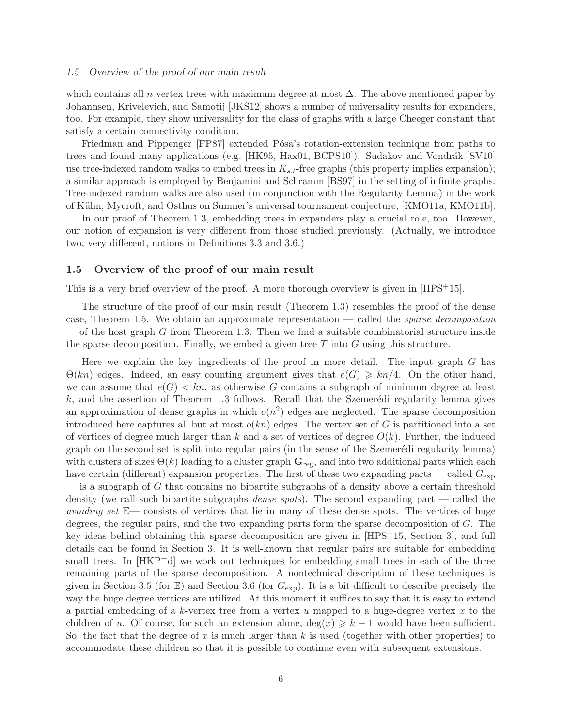which contains all n-vertex trees with maximum degree at most  $\Delta$ . The above mentioned paper by Johannsen, Krivelevich, and Samotij [JKS12] shows a number of universality results for expanders, too. For example, they show universality for the class of graphs with a large Cheeger constant that satisfy a certain connectivity condition.

Friedman and Pippenger [FP87] extended Pósa's rotation-extension technique from paths to trees and found many applications (e.g. [HK95, Hax01, BCPS10]). Sudakov and Vondrák [SV10] use tree-indexed random walks to embed trees in  $K_{s,t}$ -free graphs (this property implies expansion); a similar approach is employed by Benjamini and Schramm [BS97] in the setting of infinite graphs. Tree-indexed random walks are also used (in conjunction with the Regularity Lemma) in the work of Kühn, Mycroft, and Osthus on Sumner's universal tournament conjecture, [KMO11a, KMO11b].

In our proof of Theorem 1.3, embedding trees in expanders play a crucial role, too. However, our notion of expansion is very different from those studied previously. (Actually, we introduce two, very different, notions in Definitions 3.3 and 3.6.)

### 1.5 Overview of the proof of our main result

This is a very brief overview of the proof. A more thorough overview is given in [HPS<sup>+</sup>15].

The structure of the proof of our main result (Theorem 1.3) resembles the proof of the dense case, Theorem 1.5. We obtain an approximate representation — called the *sparse decomposition*  $-$  of the host graph G from Theorem 1.3. Then we find a suitable combinatorial structure inside the sparse decomposition. Finally, we embed a given tree  $T$  into  $G$  using this structure.

Here we explain the key ingredients of the proof in more detail. The input graph G has  $\Theta(kn)$  edges. Indeed, an easy counting argument gives that  $e(G) \geq kn/4$ . On the other hand, we can assume that  $e(G) < kn$ , as otherwise G contains a subgraph of minimum degree at least  $k$ , and the assertion of Theorem 1.3 follows. Recall that the Szemerédi regularity lemma gives an approximation of dense graphs in which  $o(n^2)$  edges are neglected. The sparse decomposition introduced here captures all but at most  $o(kn)$  edges. The vertex set of G is partitioned into a set of vertices of degree much larger than k and a set of vertices of degree  $O(k)$ . Further, the induced graph on the second set is split into regular pairs (in the sense of the Szemerédi regularity lemma) with clusters of sizes  $\Theta(k)$  leading to a cluster graph  $\mathbf{G}_{\text{reg}}$ , and into two additional parts which each have certain (different) expansion properties. The first of these two expanding parts — called  $G_{\text{exp}}$  $-$  is a subgraph of G that contains no bipartite subgraphs of a density above a certain threshold density (we call such bipartite subgraphs *dense spots*). The second expanding part — called the *avoiding set* E— consists of vertices that lie in many of these dense spots. The vertices of huge degrees, the regular pairs, and the two expanding parts form the sparse decomposition of G. The key ideas behind obtaining this sparse decomposition are given in [HPS+15, Section 3], and full details can be found in Section 3. It is well-known that regular pairs are suitable for embedding small trees. In  $[HKP^+d]$  we work out techniques for embedding small trees in each of the three remaining parts of the sparse decomposition. A nontechnical description of these techniques is given in Section 3.5 (for  $\mathbb{E}$ ) and Section 3.6 (for  $G_{\text{exp}}$ ). It is a bit difficult to describe precisely the way the huge degree vertices are utilized. At this moment it suffices to say that it is easy to extend a partial embedding of a k-vertex tree from a vertex  $u$  mapped to a huge-degree vertex  $x$  to the children of u. Of course, for such an extension alone,  $\deg(x) \geq k-1$  would have been sufficient. So, the fact that the degree of x is much larger than  $k$  is used (together with other properties) to accommodate these children so that it is possible to continue even with subsequent extensions.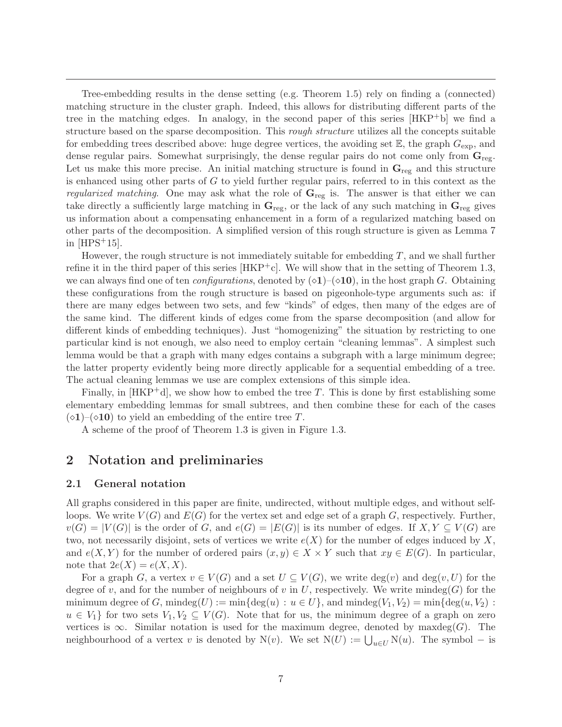Tree-embedding results in the dense setting (e.g. Theorem 1.5) rely on finding a (connected) matching structure in the cluster graph. Indeed, this allows for distributing different parts of the tree in the matching edges. In analogy, in the second paper of this series [HKP+b] we find a structure based on the sparse decomposition. This *rough structure* utilizes all the concepts suitable for embedding trees described above: huge degree vertices, the avoiding set  $\mathbb{E}$ , the graph  $G_{\text{exp}}$ , and dense regular pairs. Somewhat surprisingly, the dense regular pairs do not come only from  $G_{reg}$ . Let us make this more precise. An initial matching structure is found in  $\mathbf{G}_{reg}$  and this structure is enhanced using other parts of  $G$  to yield further regular pairs, referred to in this context as the *regularized matching*. One may ask what the role of  $\mathbf{G}_{reg}$  is. The answer is that either we can take directly a sufficiently large matching in  $G_{reg}$ , or the lack of any such matching in  $G_{reg}$  gives us information about a compensating enhancement in a form of a regularized matching based on other parts of the decomposition. A simplified version of this rough structure is given as Lemma 7 in  $[HPS^+15]$ .

However, the rough structure is not immediately suitable for embedding  $T$ , and we shall further refine it in the third paper of this series  $[HKP^+c]$ . We will show that in the setting of Theorem 1.3, we can always find one of ten *configurations*, denoted by  $(\diamond 1)$ – $(\diamond 10)$ , in the host graph G. Obtaining these configurations from the rough structure is based on pigeonhole-type arguments such as: if there are many edges between two sets, and few "kinds" of edges, then many of the edges are of the same kind. The different kinds of edges come from the sparse decomposition (and allow for different kinds of embedding techniques). Just "homogenizing" the situation by restricting to one particular kind is not enough, we also need to employ certain "cleaning lemmas". A simplest such lemma would be that a graph with many edges contains a subgraph with a large minimum degree; the latter property evidently being more directly applicable for a sequential embedding of a tree. The actual cleaning lemmas we use are complex extensions of this simple idea.

Finally, in  $[HKP^+d]$ , we show how to embed the tree T. This is done by first establishing some elementary embedding lemmas for small subtrees, and then combine these for each of the cases  $(\diamond 1)$ – $(\diamond 10)$  to yield an embedding of the entire tree T.

A scheme of the proof of Theorem 1.3 is given in Figure 1.3.

# 2 Notation and preliminaries

# 2.1 General notation

All graphs considered in this paper are finite, undirected, without multiple edges, and without selfloops. We write  $V(G)$  and  $E(G)$  for the vertex set and edge set of a graph G, respectively. Further,  $v(G) = |V(G)|$  is the order of G, and  $e(G) = |E(G)|$  is its number of edges. If  $X, Y \subseteq V(G)$  are two, not necessarily disjoint, sets of vertices we write  $e(X)$  for the number of edges induced by X, and  $e(X, Y)$  for the number of ordered pairs  $(x, y) \in X \times Y$  such that  $xy \in E(G)$ . In particular, note that  $2e(X) = e(X, X)$ .

For a graph G, a vertex  $v \in V(G)$  and a set  $U \subseteq V(G)$ , we write  $\deg(v)$  and  $\deg(v, U)$  for the degree of v, and for the number of neighbours of v in U, respectively. We write  $\text{mindeg}(G)$  for the minimum degree of G, mindeg(U) := min{deg(u) :  $u \in U$ }, and mindeg( $V_1, V_2$ ) = min{deg(u,  $V_2$ ) :  $u \in V_1$  for two sets  $V_1, V_2 \subseteq V(G)$ . Note that for us, the minimum degree of a graph on zero vertices is  $\infty$ . Similar notation is used for the maximum degree, denoted by maxdeg(G). The neighbourhood of a vertex v is denoted by N(v). We set  $N(U) := \bigcup_{u \in U} N(u)$ . The symbol – is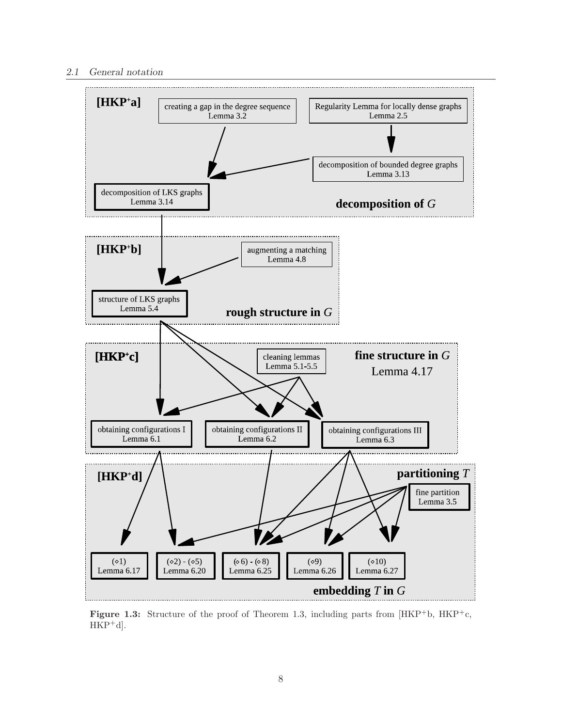

Figure 1.3: Structure of the proof of Theorem 1.3, including parts from  $[HKP<sup>+</sup>b, HKP<sup>+</sup>c,$  $HKP^+d$ .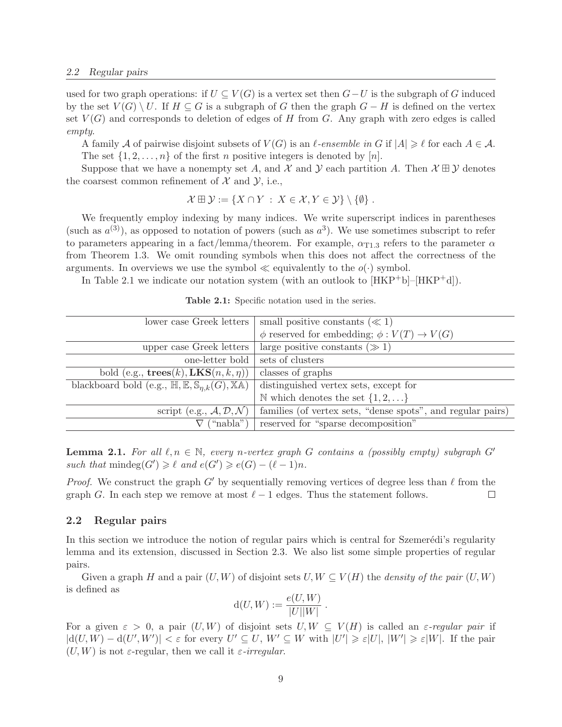used for two graph operations: if  $U \subseteq V(G)$  is a vertex set then  $G-U$  is the subgraph of G induced by the set  $V(G) \setminus U$ . If  $H \subseteq G$  is a subgraph of G then the graph  $G - H$  is defined on the vertex set  $V(G)$  and corresponds to deletion of edges of H from G. Any graph with zero edges is called *empty*.

A family A of pairwise disjoint subsets of  $V(G)$  is an  $\ell$ -ensemble in G if  $|A| \geqslant \ell$  for each  $A \in \mathcal{A}$ . The set  $\{1, 2, \ldots, n\}$  of the first *n* positive integers is denoted by [*n*].

Suppose that we have a nonempty set A, and X and Y each partition A. Then  $\mathcal{X} \boxplus \mathcal{Y}$  denotes the coarsest common refinement of  $\mathcal{X}$  and  $\mathcal{Y}$ , i.e.,

$$
\mathcal{X} \boxplus \mathcal{Y} := \{ X \cap Y : X \in \mathcal{X}, Y \in \mathcal{Y} \} \setminus \{ \emptyset \}.
$$

We frequently employ indexing by many indices. We write superscript indices in parentheses (such as  $a^{(3)}$ ), as opposed to notation of powers (such as  $a^3$ ). We use sometimes subscript to refer to parameters appearing in a fact/lemma/theorem. For example,  $\alpha_{T1,3}$  refers to the parameter  $\alpha$ from Theorem 1.3. We omit rounding symbols when this does not affect the correctness of the arguments. In overviews we use the symbol  $\ll$  equivalently to the  $o(\cdot)$  symbol.

In Table 2.1 we indicate our notation system (with an outlook to  $[HKP^+b]-[HKP^+d]$ ).

| lower case Greek letters                                                                    | small positive constants ( $\ll 1$ )                        |
|---------------------------------------------------------------------------------------------|-------------------------------------------------------------|
|                                                                                             | $\phi$ reserved for embedding; $\phi: V(T) \to V(G)$        |
| upper case Greek letters                                                                    | large positive constants $(\gg 1)$                          |
| one-letter bold                                                                             | sets of clusters                                            |
| bold (e.g., $\mathbf{trees}(k)$ , $\mathbf{LKS}(n, k, \eta)$ )                              | classes of graphs                                           |
| blackboard bold (e.g., $\mathbb{H}, \mathbb{E}, \mathbb{S}_{n,k}(G), \mathbb{X}\mathbb{A})$ | distinguished vertex sets, except for                       |
|                                                                                             | N which denotes the set $\{1, 2, \}$                        |
| script (e.g., $\mathcal{A}, \mathcal{D}, \mathcal{N}$ )                                     | families (of vertex sets, "dense spots", and regular pairs) |
| ("nabla")                                                                                   | reserved for "sparse decomposition"                         |
|                                                                                             |                                                             |

Table 2.1: Specific notation used in the series.

**Lemma 2.1.** For all  $\ell, n \in \mathbb{N}$ , every n-vertex graph G contains a (possibly empty) subgraph G' *such that*  $\text{mindeg}(G') \geq \ell$  *and*  $e(G') \geq e(G) - (\ell - 1)n$ *.* 

*Proof.* We construct the graph G' by sequentially removing vertices of degree less than  $\ell$  from the graph G. In each step we remove at most  $\ell - 1$  edges. Thus the statement follows.  $\Box$ 

### 2.2 Regular pairs

In this section we introduce the notion of regular pairs which is central for Szemerédi's regularity lemma and its extension, discussed in Section 2.3. We also list some simple properties of regular pairs.

Given a graph H and a pair  $(U, W)$  of disjoint sets  $U, W \subseteq V(H)$  the *density of the pair*  $(U, W)$ is defined as

$$
d(U, W) := \frac{e(U, W)}{|U||W|}.
$$

For a given  $\varepsilon > 0$ , a pair  $(U, W)$  of disjoint sets  $U, W \subseteq V(H)$  is called an  $\varepsilon$ -regular pair if  $|d(U, W) - d(U', W')| < \varepsilon$  for every  $U' \subseteq U, W' \subseteq W$  with  $|U'| \geq \varepsilon |U|, |W'| \geq \varepsilon |W|$ . If the pair  $(U, W)$  is not  $\varepsilon$ -regular, then we call it  $\varepsilon$ -irregular.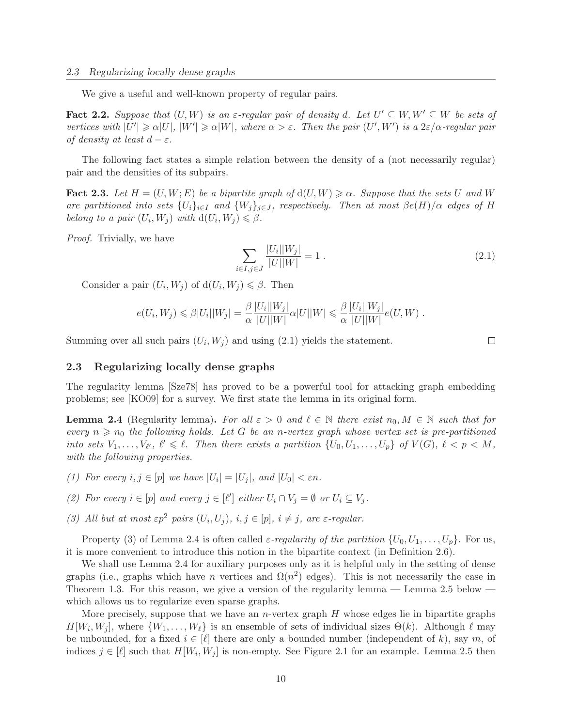We give a useful and well-known property of regular pairs.

**Fact 2.2.** Suppose that  $(U, W)$  is an  $\varepsilon$ -regular pair of density d. Let  $U' \subseteq W, W' \subseteq W$  be sets of *vertices with*  $|U'| \ge \alpha |U|$ ,  $|W'| \ge \alpha |W|$ , where  $\alpha > \varepsilon$ . Then the pair  $(U', W')$  *is a*  $2\varepsilon/\alpha$ -regular pair *of density at least*  $d - \varepsilon$ *.* 

The following fact states a simple relation between the density of a (not necessarily regular) pair and the densities of its subpairs.

**Fact 2.3.** Let  $H = (U, W; E)$  be a bipartite graph of  $d(U, W) \ge \alpha$ . Suppose that the sets U and W *are partitioned into sets*  $\{U_i\}_{i\in I}$  *and*  $\{W_j\}_{j\in J}$ *, respectively. Then at most*  $\beta e(H)/\alpha$  *edges of* H *belong to a pair*  $(U_i, W_j)$  *with*  $d(U_i, W_j) \leq \beta$ .

*Proof.* Trivially, we have

$$
\sum_{i \in I, j \in J} \frac{|U_i||W_j|}{|U||W|} = 1.
$$
\n(2.1)

Consider a pair  $(U_i, W_j)$  of  $d(U_i, W_j) \leq \beta$ . Then

$$
e(U_i, W_j) \leq \beta |U_i||W_j| = \frac{\beta}{\alpha} \frac{|U_i||W_j|}{|U||W|} \alpha |U||W| \leq \frac{\beta}{\alpha} \frac{|U_i||W_j|}{|U||W|} e(U, W) .
$$

Summing over all such pairs  $(U_i, W_j)$  and using  $(2.1)$  yields the statement.

## 2.3 Regularizing locally dense graphs

The regularity lemma [Sze78] has proved to be a powerful tool for attacking graph embedding problems; see [KO09] for a survey. We first state the lemma in its original form.

**Lemma 2.4** (Regularity lemma). For all  $\varepsilon > 0$  and  $\ell \in \mathbb{N}$  there exist  $n_0, M \in \mathbb{N}$  such that for *every*  $n \geq n_0$  *the following holds. Let* G *be an n-vertex graph whose vertex set is pre-partitioned into sets*  $V_1, \ldots, V_{\ell'}$ ,  $\ell' \leq \ell$ . Then there exists a partition  $\{U_0, U_1, \ldots, U_p\}$  of  $V(G)$ ,  $\ell < p < M$ , *with the following properties.*

- *(1) For every*  $i, j \in [p]$  *we have*  $|U_i| = |U_j|$ *, and*  $|U_0| < \varepsilon n$ *.*
- (2) For every  $i \in [p]$  and every  $j \in [\ell']$  either  $U_i \cap V_j = \emptyset$  or  $U_i \subseteq V_j$ .
- *(3) All but at most*  $\varepsilon p^2$  *pairs*  $(U_i, U_j)$ *,*  $i, j \in [p]$ *,*  $i \neq j$ *, are*  $\varepsilon$ *-regular.*

Property (3) of Lemma 2.4 is often called  $\varepsilon$ -regularity of the partition  $\{U_0, U_1, \ldots, U_p\}$ . For us, it is more convenient to introduce this notion in the bipartite context (in Definition 2.6).

We shall use Lemma 2.4 for auxiliary purposes only as it is helpful only in the setting of dense graphs (i.e., graphs which have n vertices and  $\Omega(n^2)$  edges). This is not necessarily the case in Theorem 1.3. For this reason, we give a version of the regularity lemma  $-$  Lemma 2.5 below  $$ which allows us to regularize even sparse graphs.

More precisely, suppose that we have an *n*-vertex graph  $H$  whose edges lie in bipartite graphs  $H[W_i, W_j]$ , where  $\{W_1, \ldots, W_\ell\}$  is an ensemble of sets of individual sizes  $\Theta(k)$ . Although  $\ell$  may be unbounded, for a fixed  $i \in [\ell]$  there are only a bounded number (independent of k), say m, of indices  $j \in [\ell]$  such that  $H[W_i, W_j]$  is non-empty. See Figure 2.1 for an example. Lemma 2.5 then

 $\Box$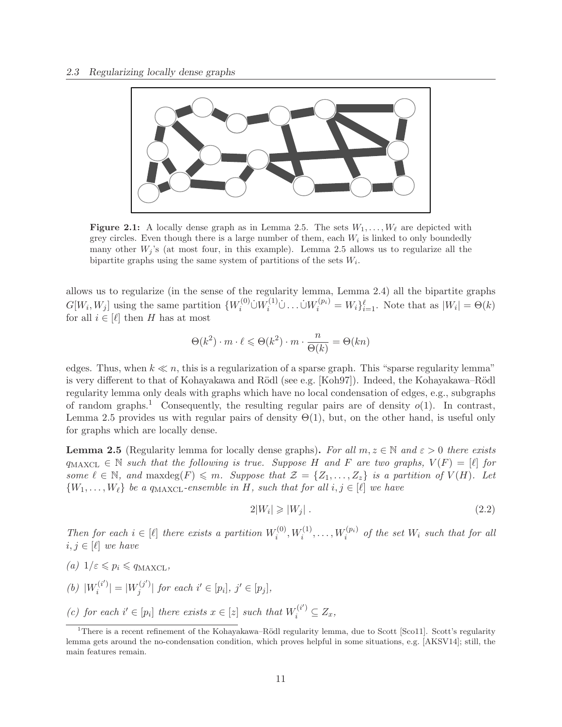

Figure 2.1: A locally dense graph as in Lemma 2.5. The sets  $W_1, \ldots, W_\ell$  are depicted with grey circles. Even though there is a large number of them, each  $W_i$  is linked to only boundedly many other  $W_i$ 's (at most four, in this example). Lemma 2.5 allows us to regularize all the bipartite graphs using the same system of partitions of the sets  $W_i$ .

allows us to regularize (in the sense of the regularity lemma, Lemma 2.4) all the bipartite graphs  $G[W_i, W_j]$  using the same partition  $\{W_i^{(0)} \cup W_i^{(1)} \cup \ldots \cup W_i^{(p_i)} = W_i\}_{i=1}^{\ell}$ . Note that as  $|W_i| = \Theta(k)$ for all  $i \in [\ell]$  then H has at most

$$
\Theta(k^2) \cdot m \cdot \ell \leq \Theta(k^2) \cdot m \cdot \frac{n}{\Theta(k)} = \Theta(kn)
$$

edges. Thus, when  $k \ll n$ , this is a regularization of a sparse graph. This "sparse regularity lemma" is very different to that of Kohayakawa and Rödl (see e.g. [Koh97]). Indeed, the Kohayakawa–Rödl regularity lemma only deals with graphs which have no local condensation of edges, e.g., subgraphs of random graphs.<sup>1</sup> Consequently, the resulting regular pairs are of density  $o(1)$ . In contrast, Lemma 2.5 provides us with regular pairs of density  $\Theta(1)$ , but, on the other hand, is useful only for graphs which are locally dense.

**Lemma 2.5** (Regularity lemma for locally dense graphs). For all  $m, z \in \mathbb{N}$  and  $\varepsilon > 0$  there exists  $q_{\text{MAXCL}} \in \mathbb{N}$  such that the following is true. Suppose H and F are two graphs,  $V(F) = \lceil \ell \rceil$  for *some*  $\ell \in \mathbb{N}$ , and maxdeg(F)  $\leq m$ . Suppose that  $\mathcal{Z} = \{Z_1, \ldots, Z_z\}$  *is a partition of*  $V(H)$ *. Let*  $\{W_1, \ldots, W_\ell\}$  *be a q*<sub>MAXCL</sub>-ensemble in H, such that for all  $i, j \in [\ell]$  we have

$$
2|W_i| \geqslant |W_j| \tag{2.2}
$$

*Then for each*  $i \in [\ell]$  *there exists a partition*  $W_i^{(0)}$  $W_i^{(0)}, W_i^{(1)}, \ldots, W_i^{(p_i)}$  of the set  $W_i$  such that for all  $i, j \in [\ell]$  *we have* 

- $(a)$   $1/\varepsilon \leqslant p_i \leqslant q_{\text{MAXCL}}$
- (b)  $|W_i^{(i)}\>$  $|u_i^{(i')}| = |W_j^{(j')}|$  $j^{(j')}$  for each  $i' \in [p_i], j' \in [p_j],$
- (c) for each  $i' \in [p_i]$  there exists  $x \in [z]$  such that  $W_i^{(i')} \subseteq Z_x$ ,

<sup>&</sup>lt;sup>1</sup>There is a recent refinement of the Kohayakawa–Rödl regularity lemma, due to Scott [Sco11]. Scott's regularity lemma gets around the no-condensation condition, which proves helpful in some situations, e.g. [AKSV14]; still, the main features remain.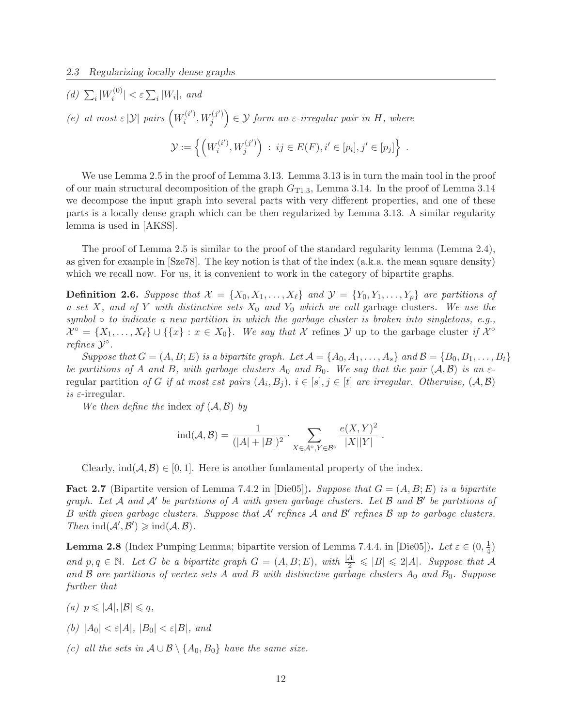*(d)*  $\sum_i |W_i^{(0)}|$  $\left| \sum_{i}^{\left(0\right)} \right| < \varepsilon \sum_{i} |W_i|,$  and *(e)* at most  $\epsilon$  |*y*| *pairs*  $\left(W_i^{(i')}\right)$  $\widetilde{u}^{(i')},W_j^{(j')}$  $\left( \begin{matrix} \sigma^{(j')} \\ j \end{matrix} \right) \in \mathcal{Y}$  form an  $\varepsilon$ -irregular pair in H, where  $\mathcal{Y}:=\Big\{\Big(W_i^{(i^\prime)}$  $\widetilde{u}^{(i')}, W_j^{(j')}$  $j^{(j')}$  :  $ij \in E(F), i' \in [p_i], j' \in [p_j]$ .

We use Lemma 2.5 in the proof of Lemma 3.13. Lemma 3.13 is in turn the main tool in the proof of our main structural decomposition of the graph  $G_{T1,3}$ , Lemma 3.14. In the proof of Lemma 3.14 we decompose the input graph into several parts with very different properties, and one of these parts is a locally dense graph which can be then regularized by Lemma 3.13. A similar regularity lemma is used in [AKSS].

The proof of Lemma 2.5 is similar to the proof of the standard regularity lemma (Lemma 2.4), as given for example in [Sze78]. The key notion is that of the index (a.k.a. the mean square density) which we recall now. For us, it is convenient to work in the category of bipartite graphs.

**Definition 2.6.** Suppose that  $\mathcal{X} = \{X_0, X_1, \ldots, X_\ell\}$  and  $\mathcal{Y} = \{Y_0, Y_1, \ldots, Y_p\}$  are partitions of *a set* X, and of Y with distinctive sets  $X_0$  and  $Y_0$  which we call garbage clusters. We use the *symbol* ◦ *to indicate a new partition in which the garbage cluster is broken into singletons, e.g.,*  $\mathcal{X}^{\circ} = \{X_1, \ldots, X_{\ell}\} \cup \{\{x\} : x \in X_0\}.$  We say that X refines Y up to the garbage cluster if  $\mathcal{X}^{\circ}$ *refines*  $\mathcal{Y}^{\circ}$ *.* 

*Suppose that*  $G = (A, B; E)$  *is a bipartite graph.* Let  $\mathcal{A} = \{A_0, A_1, \ldots, A_s\}$  and  $\mathcal{B} = \{B_0, B_1, \ldots, B_t\}$ *be partitions of* A *and* B, with garbage clusters  $A_0$  *and*  $B_0$ . We say that the pair  $(A, \mathcal{B})$  *is an*  $\varepsilon$ regular partition *of* G *if at most*  $\epsilon$ *st pairs*  $(A_i, B_j)$ ,  $i \in [s], j \in [t]$  *are irregular. Otherwise*,  $(A, B)$ *is* ε-irregular*.*

*We then define the* index *of* (A, B) *by*

$$
\text{ind}(\mathcal{A}, \mathcal{B}) = \frac{1}{(|A|+|B|)^2} \cdot \sum_{X \in \mathcal{A}^\circ, Y \in \mathcal{B}^\circ} \frac{e(X, Y)^2}{|X||Y|}.
$$

Clearly,  $ind(A, \mathcal{B}) \in [0, 1]$ . Here is another fundamental property of the index.

**Fact 2.7** (Bipartite version of Lemma 7.4.2 in [Die05]). *Suppose that*  $G = (A, B; E)$  *is a bipartite graph. Let* <sup>A</sup> *and* <sup>A</sup>′ *be partitions of* A *with given garbage clusters. Let* B *and* B ′ *be partitions of* <sup>B</sup> *with given garbage clusters. Suppose that* <sup>A</sup>′ *refines* A *and* B ′ *refines* B *up to garbage clusters. Then*  $\text{ind}(\mathcal{A}', \mathcal{B}') \geq \text{ind}(\mathcal{A}, \mathcal{B})$ *.* 

**Lemma 2.8** (Index Pumping Lemma; bipartite version of Lemma 7.4.4. in [Die05]). Let  $\varepsilon \in (0, \frac{1}{4})$  $\frac{1}{4})$ *and*  $p, q \in \mathbb{N}$ *. Let* G *be a bipartite graph*  $G = (A, B; E)$ *, with*  $\frac{|A|}{2} \leq |B| \leq 2|A|$ *. Suppose that* A *and* B *are partitions of vertex sets* A *and* B *with distinctive garbage clusters* A<sup>0</sup> *and* B0*. Suppose further that*

- *(a)*  $p \leq |\mathcal{A}|, |\mathcal{B}| \leq q$ ,
- *(b)*  $|A_0| < \varepsilon |A|$ ,  $|B_0| < \varepsilon |B|$ , and
- *(c)* all the sets in  $\mathcal{A} \cup \mathcal{B} \setminus \{A_0, B_0\}$  have the same size.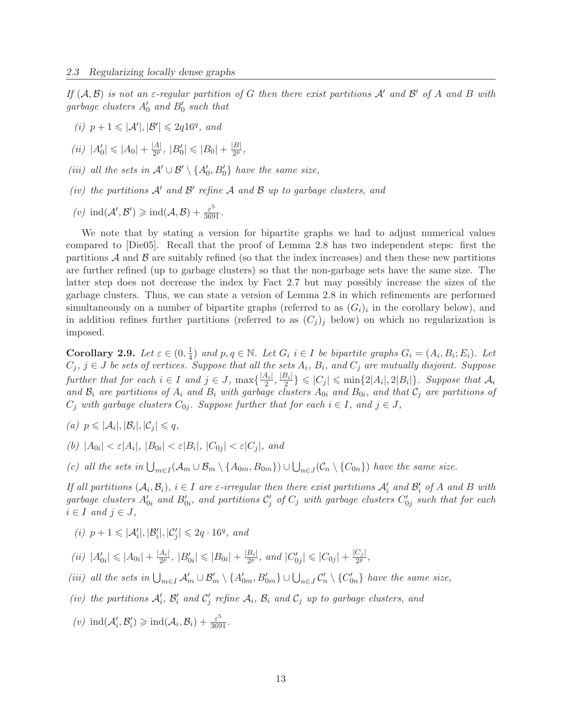*If*  $(A, B)$  *is not an*  $\varepsilon$ -regular partition of G then there exist partitions  $A'$  *and*  $B'$  *of*  $A$  *and*  $B$  *with*  $garbage$  *clusters*  $A'_0$  *and*  $B'_0$  *such that* 

- (*i*)  $p + 1 \leq |\mathcal{A}'|, |\mathcal{B}'| \leq 2q16^q$ , and
- $(iii)$   $|A'_0| \leq |A_0| + \frac{|A|}{2^p}$  $\frac{|A|}{2^p}, |B'_0| \leqslant |B_0| + \frac{|B|}{2^p}$  $\frac{D|}{2^p}$ ,
- *(iii) all the sets in*  $\mathcal{A}' \cup \mathcal{B}' \setminus \{A'_0, B'_0\}$  *have the same size,*
- *(iv)* the partitions  $A'$  and  $B'$  refine  $A$  and  $B$  up to garbage clusters, and
- $(v) \text{ ind}(\mathcal{A}', \mathcal{B}') \geq \text{ ind}(\mathcal{A}, \mathcal{B}) + \frac{\varepsilon^5}{3691}.$

We note that by stating a version for bipartite graphs we had to adjust numerical values compared to [Die05]. Recall that the proof of Lemma 2.8 has two independent steps: first the partitions  $A$  and  $B$  are suitably refined (so that the index increases) and then these new partitions are further refined (up to garbage clusters) so that the non-garbage sets have the same size. The latter step does not decrease the index by Fact 2.7 but may possibly increase the sizes of the garbage clusters. Thus, we can state a version of Lemma 2.8 in which refinements are performed simultaneously on a number of bipartite graphs (referred to as  $(G_i)_i$  in the corollary below), and in addition refines further partitions (referred to as  $(C_j)_j$  below) on which no regularization is imposed.

**Corollary 2.9.** *Let*  $\varepsilon \in (0, \frac{1}{4})$  $\frac{1}{4}$  and  $p, q \in \mathbb{N}$ . Let  $G_i$   $i \in I$  be bipartite graphs  $G_i = (A_i, B_i; E_i)$ . Let  $C_j$ ,  $j \in J$  *be sets of vertices. Suppose that all the sets*  $A_i$ ,  $B_i$ , and  $C_j$  are mutually disjoint. Suppose *further that for each*  $i \in I$  *and*  $j \in J$ ,  $\max\{\frac{|A_i|}{2}\}$  $\frac{4_i}{2}, \frac{|B_i|}{2}$  $\left| \sum_{i=1}^{i} \right| \leq C_j \leq \min\{2|A_i|, 2|B_i|\}.$  Suppose that  $A_i$ and  $\mathcal{B}_i$  are partitions of  $A_i$  and  $B_i$  with garbage clusters  $A_{0i}$  and  $B_{0i}$ , and that  $C_j$  are partitions of  $C_j$  with garbage clusters  $C_{0j}$ *. Suppose further that for each*  $i \in I$ *, and*  $j \in J$ *,* 

- $(a)$   $p \leq |\mathcal{A}_i|, |\mathcal{B}_i|, |\mathcal{C}_j| \leq q,$
- $(b)$   $|A_{0i}| < \varepsilon |A_i|$ ,  $|B_{0i}| < \varepsilon |B_i|$ ,  $|C_{0j}| < \varepsilon |C_j|$ , and
- (c) all the sets in  $\bigcup_{m\in I}(\mathcal{A}_m\cup\mathcal{B}_m\setminus\{A_{0m},B_{0m}\})\cup\bigcup_{n\in J}(\mathcal{C}_n\setminus\{C_{0n}\})$  have the same size.

*If all partitions*  $(A_i, B_i)$ ,  $i \in I$  *are*  $\varepsilon$ *-irregular then there exist partitions*  $A'_i$  *and*  $B'_i$  *of*  $A$  *and*  $B$  *with*  $g$ arbage clusters  $A'_{0i}$  and  $B'_{0i}$ , and partitions  $C'_j$  of  $C_j$  with garbage clusters  $C'_{0j}$  such that for each  $i \in I$  *and*  $j \in J$ *,* 

- $(i)$   $p + 1 \leqslant |\mathcal{A}'_i|, |\mathcal{B}'_i|, |\mathcal{C}'_j| \leqslant 2q \cdot 16^q$ , and
- $(iii)$   $|A'_{0i}| \leq |A_{0i}| + \frac{|A_i|}{2^p}$  $\frac{A_i}{2^p}, |B'_{0i}| \leqslant |B_{0i}| + \frac{|B_i|}{2^p}$  $\frac{|B_i|}{2^p}$ , and  $|C'_{0j}| \leqslant |C_{0j}| + \frac{|C_j|}{2^p}$  $\frac{C_j|}{2^p},$
- (*iii*) all the sets in  $\bigcup_{m\in I} A'_m \cup B'_m \setminus \{A'_{0m}, B'_{0m}\} \cup \bigcup_{n\in J} C'_n \setminus \{C'_{0n}\}\$  have the same size,
- (*iv*) the partitions  $A'_i$ ,  $B'_i$  and  $C'_j$  refine  $A_i$ ,  $B_i$  and  $C_j$  up to garbage clusters, and
- $(v) \text{ind}(\mathcal{A}'_i, \mathcal{B}'_i) \geq \text{ind}(\mathcal{A}_i, \mathcal{B}_i) + \frac{\varepsilon^5}{3691}.$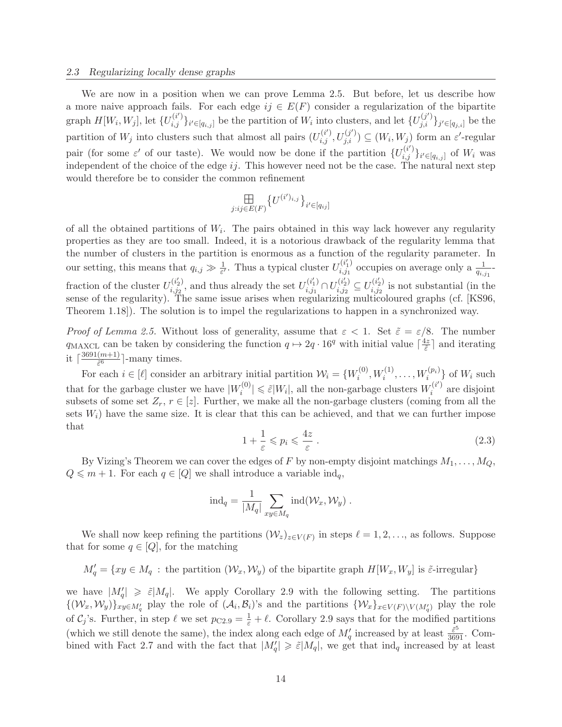#### 2.3 Regularizing locally dense graphs

We are now in a position when we can prove Lemma 2.5. But before, let us describe how a more naive approach fails. For each edge  $ij \in E(F)$  consider a regularization of the bipartite graph  $H[W_i, W_j]$ , let  $\{U_{i,j}^{(i')}\}_{i' \in [q_{i,j}]}$  be the partition of  $W_i$  into clusters, and let  $\{U_{j,i}^{(j')}\}_{j' \in [q_{j,i}]}$  be the partition of  $W_j$  into clusters such that almost all pairs  $(U_{i,j}^{(i')}, U_{j,i}^{(j')}) \subseteq (W_i, W_j)$  form an  $\varepsilon'$ -regular pair (for some  $\varepsilon'$  of our taste). We would now be done if the partition  $\{U_{i,j}^{(i')}\}_{i'\in[q_{i,j}]}$  of  $W_i$  was independent of the choice of the edge  $ij$ . This however need not be the case. The natural next step would therefore be to consider the common refinement

$$
\underset{j:ij\in E(F)}{\boxplus}\{U^{(i')_{i,j}}\}_{i'\in [q_{ij}]}
$$

of all the obtained partitions of  $W_i$ . The pairs obtained in this way lack however any regularity properties as they are too small. Indeed, it is a notorious drawback of the regularity lemma that the number of clusters in the partition is enormous as a function of the regularity parameter. In our setting, this means that  $q_{i,j} \gg \frac{1}{\varepsilon'}$ . Thus a typical cluster  $U_{i,j_1}^{(i_1')}$  $\sum_{i,j_1}^{(i_1)}$  occupies on average only a  $\frac{1}{q_{i,j_1}}$ fraction of the cluster  $U_{i,j_2}^{(i_2')}$  $\boldsymbol{e}^{(i_2')}_{i,j_2},$  and thus already the set  $U_{i,j_1}^{(i_1')}$  $\bigcup_{i,j_1}^{(i_1')} \cap U_{i,j_2}^{(i_2')}$  $\zeta_{i,j_2}^{(i_2')} \subseteq U_{i,j_2}^{(i_2')}$  $i_{i,j_2}^{(i_2)}$  is not substantial (in the sense of the regularity). The same issue arises when regularizing multicoloured graphs (cf. [KS96, Theorem 1.18]). The solution is to impel the regularizations to happen in a synchronized way.

*Proof of Lemma 2.5.* Without loss of generality, assume that  $\varepsilon < 1$ . Set  $\tilde{\varepsilon} = \varepsilon/8$ . The number  $q_{\text{MAXCL}}$  can be taken by considering the function  $q \mapsto 2q \cdot 16^q$  with initial value  $\lceil \frac{4z}{\tilde{\varepsilon}} \rceil$  $\frac{dz}{\tilde{\varepsilon}}$  and iterating it  $\lceil \frac{3691(m+1)}{\tilde{\varepsilon}^6} \rceil$  $\left(\frac{m+1}{\tilde{\varepsilon}^6}\right]$ -many times.

For each  $i \in [\ell]$  consider an arbitrary initial partition  $\mathcal{W}_i = \{W_i^{(0)}\}$  $W_i^{(0)}, W_i^{(1)}, \ldots, W_i^{(p_i)}\}$  of  $W_i$  such that for the garbage cluster we have  $|W_i^{(0)}\rangle$  $\hat{\epsilon}^{(0)}|\leqslant\tilde{\epsilon}|W_i|,$  all the non-garbage clusters  $W_i^{(i')}$  $i^{(i)}$  are disjoint subsets of some set  $Z_r$ ,  $r \in [z]$ . Further, we make all the non-garbage clusters (coming from all the sets  $W_i$ ) have the same size. It is clear that this can be achieved, and that we can further impose that

$$
1 + \frac{1}{\varepsilon} \le p_i \le \frac{4z}{\varepsilon} \,. \tag{2.3}
$$

By Vizing's Theorem we can cover the edges of F by non-empty disjoint matchings  $M_1, \ldots, M_Q$ ,  $Q \leq m + 1$ . For each  $q \in [Q]$  we shall introduce a variable  $\text{ind}_q$ ,

$$
\text{ind}_q = \frac{1}{|M_q|} \sum_{xy \in M_q} \text{ind}(\mathcal{W}_x, \mathcal{W}_y) .
$$

We shall now keep refining the partitions  $(\mathcal{W}_z)_{z \in V(F)}$  in steps  $\ell = 1, 2, ...,$  as follows. Suppose that for some  $q \in [Q]$ , for the matching

 $M'_q = \{xy \in M_q :$  the partition  $(\mathcal{W}_x, \mathcal{W}_y)$  of the bipartite graph  $H[W_x, W_y]$  is  $\tilde{\varepsilon}$ -irregular}

we have  $|M'_{q}| \geq \tilde{\varepsilon}|M_{q}|$ . We apply Corollary 2.9 with the following setting. The partitions  $\{(\mathcal{W}_x, \mathcal{W}_y)\}_{xy\in M'_q}$  play the role of  $(\mathcal{A}_i, \mathcal{B}_i)$ 's and the partitions  $\{\mathcal{W}_x\}_{x\in V(F)\setminus V(M'_q)}$  play the role of  $C_j$ 's. Further, in step  $\ell$  we set  $p_{C2.9} = \frac{1}{\varepsilon} + \ell$ . Corollary 2.9 says that for the modified partitions (which we still denote the same), the index along each edge of  $M'_q$  increased by at least  $\frac{\tilde{\varepsilon}^5}{3691}$ . Combined with Fact 2.7 and with the fact that  $|M'_q| \geq \tilde{\varepsilon}|M_q|$ , we get that  $\text{ind}_q$  increased by at least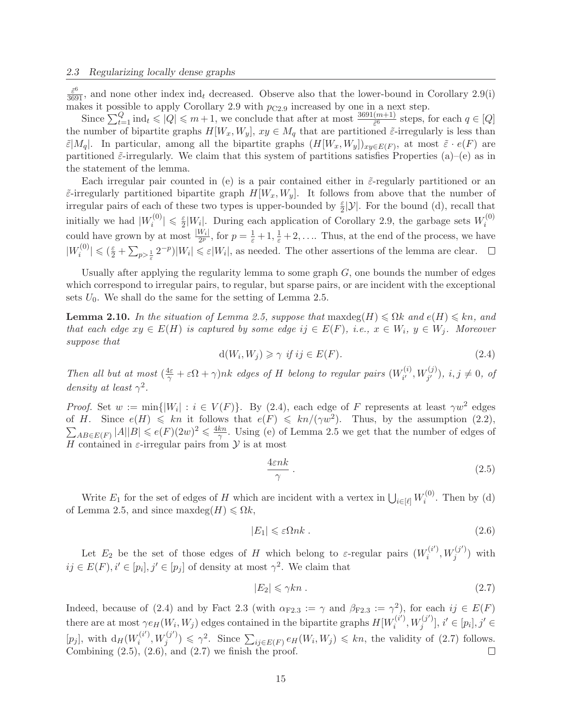$\frac{\tilde{\varepsilon}^6}{3691}$ , and none other index ind<sub>t</sub> decreased. Observe also that the lower-bound in Corollary 2.9(i) makes it possible to apply Corollary 2.9 with  $p_{C2.9}$  increased by one in a next step.

Since  $\sum_{t=1}^{Q} \text{ind}_t \leqslant |Q| \leqslant m+1$ , we conclude that after at most  $\frac{3691(m+1)}{\tilde{\varepsilon}^6}$  steps, for each  $q \in [Q]$ the number of bipartite graphs  $H[W_x, W_y], xy \in M_q$  that are partitioned  $\tilde{\varepsilon}$ -irregularly is less than  $\tilde{\varepsilon}|M_q|$ . In particular, among all the bipartite graphs  $(H[W_x, W_y])_{xy \in E(F)}$ , at most  $\tilde{\varepsilon} \cdot e(F)$  are partitioned  $\tilde{\varepsilon}$ -irregularly. We claim that this system of partitions satisfies Properties (a)–(e) as in the statement of the lemma.

Each irregular pair counted in (e) is a pair contained either in  $\tilde{\varepsilon}$ -regularly partitioned or an  $\tilde{\epsilon}$ -irregularly partitioned bipartite graph  $H[W_x, W_y]$ . It follows from above that the number of irregular pairs of each of these two types is upper-bounded by  $\frac{\varepsilon}{2}$  $\frac{\varepsilon}{2}|\mathcal{Y}|$ . For the bound (d), recall that initially we had  $|W_i^{(0)}|$  $|v_i^{(0)}| \leq \frac{\varepsilon}{2}|W_i|$ . During each application of Corollary 2.9, the garbage sets  $W_i^{(0)}$ could have grown by at most  $\frac{|W_i|}{2^p}$ , for  $p = \frac{1}{\varepsilon} + 1, \frac{1}{\varepsilon} + 2, \dots$  Thus, at the end of the process, we have i  $|W_i^{(0)}|$  $|\tilde{z}^{(0)}_{i}| \leqslant (\frac{\varepsilon}{2} + \sum_{p>\frac{1}{\varepsilon}} 2^{-p})|W_{i}| \leqslant \varepsilon |W_{i}|$ , as needed. The other assertions of the lemma are clear.

Usually after applying the regularity lemma to some graph  $G$ , one bounds the number of edges which correspond to irregular pairs, to regular, but sparse pairs, or are incident with the exceptional sets  $U_0$ . We shall do the same for the setting of Lemma 2.5.

**Lemma 2.10.** In the situation of Lemma 2.5, suppose that  $\text{maxdeg}(H) \leq \Omega k$  and  $e(H) \leq kn$ , and *that each edge*  $xy \in E(H)$  *is captured by some edge*  $ij \in E(F)$ *, i.e.,*  $x \in W_i$ *,*  $y \in W_j$ *. Moreover suppose that*

$$
d(W_i, W_j) \geq \gamma \text{ if } ij \in E(F). \tag{2.4}
$$

*Then all but at most*  $(\frac{4\varepsilon}{\gamma} + \varepsilon \Omega + \gamma)nk$  *edges of H belong to regular pairs*  $(W_i^{(i)}$  $i^{(i)}_{i'}, W_{j'}^{(j)}$ ,  $i, j \neq 0$ , of *density at least*  $\gamma^2$ *.* 

*Proof.* Set  $w := \min\{|W_i| : i \in V(F)\}\$ . By (2.4), each edge of F represents at least  $\gamma w^2$  edges of H. Since  $e(H) \leq k n$  it follows that  $e(F) \leq k n/(\gamma w^2)$ . Thus, by the assumption (2.2),  $\sum_{AB\in E(F)}|A||B|\leqslant e(F)(2w)^2\leqslant \frac{4kn}{\gamma}$  $\frac{kn}{\gamma}$ . Using (e) of Lemma 2.5 we get that the number of edges of H contained in  $\varepsilon$ -irregular pairs from  $\mathcal Y$  is at most

$$
\frac{4\varepsilon nk}{\gamma} \tag{2.5}
$$

Write  $E_1$  for the set of edges of H which are incident with a vertex in  $\bigcup_{i \in [\ell]} W_i^{(0)}$  $i^{(0)}$ . Then by (d) of Lemma 2.5, and since maxdeg $(H) \le \Omega k$ ,

$$
|E_1| \leq \varepsilon \Omega n k \tag{2.6}
$$

Let  $E_2$  be the set of those edges of H which belong to  $\varepsilon$ -regular pairs  $(W_i^{(i')}$  $\widetilde{u}^{(i')},W_j^{(j')}$  $j^{(J)}$ ) with  $ij \in E(F), i' \in [p_i], j' \in [p_j]$  of density at most  $\gamma^2$ . We claim that

$$
|E_2| \leq \gamma k n \tag{2.7}
$$

Indeed, because of (2.4) and by Fact 2.3 (with  $\alpha_{F2.3} := \gamma$  and  $\beta_{F2.3} := \gamma^2$ ), for each  $ij \in E(F)$ there are at most  $\gamma e_H(W_i, W_j)$  edges contained in the bipartite graphs  $H[W_i^{(i')}]$  $\widetilde{u}^{(i')},W_j^{(j')}$  $[j^{(j')}]$ ,  $i' \in [p_i]$ ,  $j' \in$ [ $p_j$ ], with  $d_H(W_i^{(i)})$  $\widetilde{u}^{(i')},W_j^{(j')}$  $\mathcal{L}_{ij}(j') \leq \gamma^2$ . Since  $\sum_{ij \in E(F)} e_H(W_i, W_j) \leq k n$ , the validity of (2.7) follows. Combining  $(2.5)$ ,  $(2.6)$ , and  $(2.7)$  we finish the proof.  $\Box$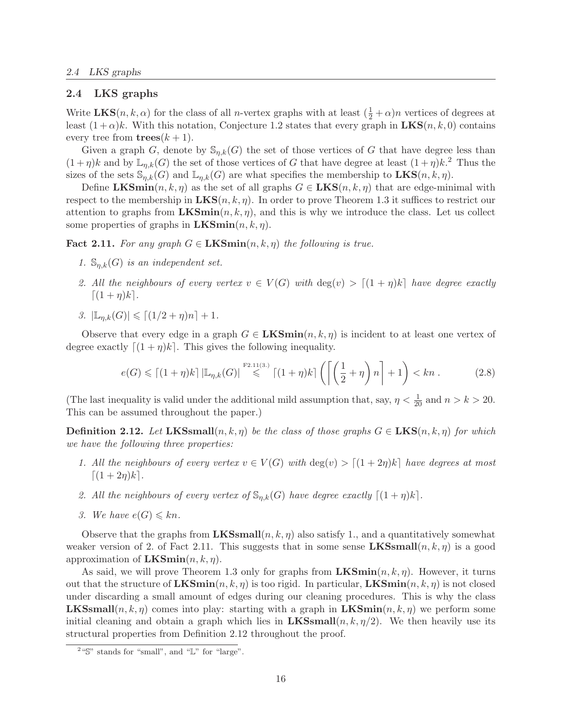## 2.4 LKS graphs

Write  $\mathbf{LKS}(n, k, \alpha)$  for the class of all *n*-vertex graphs with at least  $(\frac{1}{2} + \alpha)n$  vertices of degrees at least  $(1+\alpha)k$ . With this notation, Conjecture 1.2 states that every graph in  $LKS(n, k, 0)$  contains every tree from  $\mathbf{trees}(k+1)$ .

Given a graph G, denote by  $\mathbb{S}_{n,k}(G)$  the set of those vertices of G that have degree less than  $(1 + \eta)k$  and by  $\mathbb{L}_{\eta,k}(G)$  the set of those vertices of G that have degree at least  $(1 + \eta)k$ .<sup>2</sup> Thus the sizes of the sets  $\mathbb{S}_{n,k}(G)$  and  $\mathbb{L}_{n,k}(G)$  are what specifies the membership to  $\mathbf{LKS}(n,k,\eta)$ .

Define LKSmin $(n, k, \eta)$  as the set of all graphs  $G \in LKS(n, k, \eta)$  that are edge-minimal with respect to the membership in  $LKS(n, k, \eta)$ . In order to prove Theorem 1.3 it suffices to restrict our attention to graphs from  $LKSimilar(n, k, \eta)$ , and this is why we introduce the class. Let us collect some properties of graphs in **.** 

**Fact 2.11.** For any graph  $G \in \mathbf{LKSmin}(n, k, \eta)$  the following is true.

- *1.*  $\mathbb{S}_{n,k}(G)$  *is an independent set.*
- 2. All the neighbours of every vertex  $v \in V(G)$  with  $\deg(v) > \lceil (1 + \eta)k \rceil$  have degree exactly  $\lceil(1 + \eta)k\rceil$ .
- *3.*  $|\mathbb{L}_{n,k}(G)| \leqslant \lceil (1/2 + \eta)n \rceil + 1.$

Observe that every edge in a graph  $G \in \mathbf{LKSmin}(n, k, \eta)$  is incident to at least one vertex of degree exactly  $[(1 + \eta)k]$ . This gives the following inequality.

$$
e(G) \leqslant \lceil (1+\eta)k \rceil \left| \mathbb{L}_{\eta,k}(G) \right| \stackrel{\text{F2.11(3.)}}{\leqslant} \lceil (1+\eta)k \rceil \left( \left\lceil \left( \frac{1}{2} + \eta \right) n \right\rceil + 1 \right) < kn . \tag{2.8}
$$

(The last inequality is valid under the additional mild assumption that, say,  $\eta < \frac{1}{20}$  and  $n > k > 20$ . This can be assumed throughout the paper.)

**Definition 2.12.** Let LKSsmall $(n, k, \eta)$  be the class of those graphs  $G \in LKS(n, k, \eta)$  for which *we have the following three properties:*

- *1. All the neighbours of every vertex*  $v \in V(G)$  *with*  $\deg(v) > [(1+2\eta)k]$  *have degrees at most*  $[(1 + 2\eta)k]$ .
- 2. All the neighbours of every vertex of  $\mathbb{S}_{n,k}(G)$  have degree exactly  $[(1 + \eta)k]$ .
- *3.* We have  $e(G) \leq k n$ .

Observe that the graphs from  $LKSSmall(n, k, \eta)$  also satisfy 1., and a quantitatively somewhat weaker version of 2. of Fact 2.11. This suggests that in some sense  $LKSSmall(n, k, \eta)$  is a good approximation of **.** 

As said, we will prove Theorem 1.3 only for graphs from  $LKSmin(n, k, \eta)$ . However, it turns out that the structure of  $LKSmin(n, k, \eta)$  is too rigid. In particular,  $LKSmin(n, k, \eta)$  is not closed under discarding a small amount of edges during our cleaning procedures. This is why the class **LKSsmall** $(n, k, \eta)$  comes into play: starting with a graph in  $\mathbf{LKSmin}(n, k, \eta)$  we perform some initial cleaning and obtain a graph which lies in  $LKSSmall(n, k, \eta/2)$ . We then heavily use its structural properties from Definition 2.12 throughout the proof.

<sup>&</sup>lt;sup>2</sup>"S" stands for "small", and "L" for "large".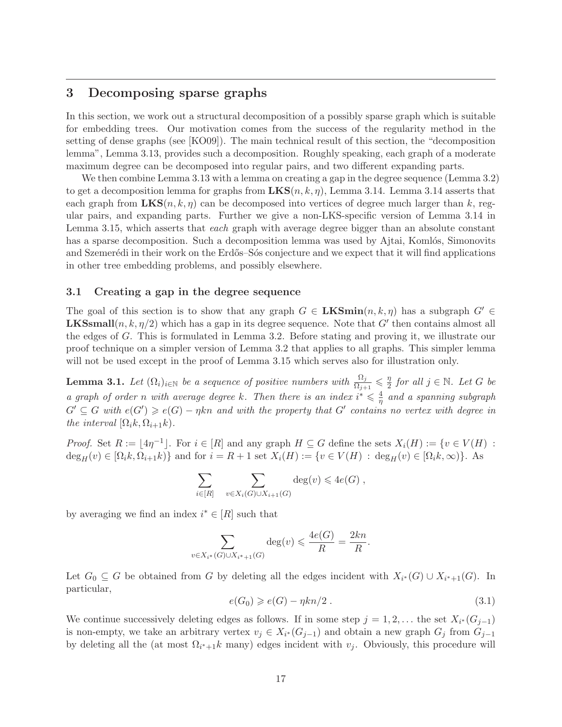# 3 Decomposing sparse graphs

In this section, we work out a structural decomposition of a possibly sparse graph which is suitable for embedding trees. Our motivation comes from the success of the regularity method in the setting of dense graphs (see [KO09]). The main technical result of this section, the "decomposition lemma", Lemma 3.13, provides such a decomposition. Roughly speaking, each graph of a moderate maximum degree can be decomposed into regular pairs, and two different expanding parts.

We then combine Lemma 3.13 with a lemma on creating a gap in the degree sequence (Lemma 3.2) to get a decomposition lemma for graphs from  $LKS(n, k, \eta)$ , Lemma 3.14. Lemma 3.14 asserts that each graph from  $LKS(n, k, \eta)$  can be decomposed into vertices of degree much larger than k, regular pairs, and expanding parts. Further we give a non-LKS-specific version of Lemma 3.14 in Lemma 3.15, which asserts that *each* graph with average degree bigger than an absolute constant has a sparse decomposition. Such a decomposition lemma was used by Ajtai, Komlós, Simonovits and Szemerédi in their work on the Erdős–Sós conjecture and we expect that it will find applications in other tree embedding problems, and possibly elsewhere.

# 3.1 Creating a gap in the degree sequence

The goal of this section is to show that any graph  $G \in \mathbf{LKSmin}(n, k, \eta)$  has a subgraph  $G' \in$ **LKSsmall** $(n, k, \eta/2)$  which has a gap in its degree sequence. Note that G' then contains almost all the edges of G. This is formulated in Lemma 3.2. Before stating and proving it, we illustrate our proof technique on a simpler version of Lemma 3.2 that applies to all graphs. This simpler lemma will not be used except in the proof of Lemma 3.15 which serves also for illustration only.

**Lemma 3.1.** Let  $(\Omega_i)_{i \in \mathbb{N}}$  be a sequence of positive numbers with  $\frac{\Omega_j}{\Omega_{j+1}} \leqslant \frac{\eta}{2}$  $\frac{\eta}{2}$  for all  $j \in \mathbb{N}$ . Let G be *a graph of order n with average degree* k. Then there is an index  $i^* \leq \frac{4}{n}$  $\frac{4}{\eta}$  and a spanning subgraph  $G' \subseteq G$  with  $e(G') \geqslant e(G) - \eta k n$  and with the property that  $G'$  contains no vertex with degree in *the interval*  $[\Omega_i k, \Omega_{i+1} k)$ *.* 

*Proof.* Set  $R := \lfloor 4\eta^{-1} \rfloor$ . For  $i \in [R]$  and any graph  $H \subseteq G$  define the sets  $X_i(H) := \{v \in V(H) :$  $\deg_H(v) \in [\Omega_i k, \Omega_{i+1} k]$  and for  $i = R + 1$  set  $X_i(H) := \{v \in V(H) : \deg_H(v) \in [\Omega_i k, \infty)\}\.$  As

$$
\sum_{i \in [R]} \sum_{v \in X_i(G) \cup X_{i+1}(G)} \deg(v) \leqslant 4e(G) ,
$$

by averaging we find an index  $i^* \in [R]$  such that

$$
\sum_{v \in X_{i^*}(G) \cup X_{i^*+1}(G)} \deg(v) \leq \frac{4e(G)}{R} = \frac{2kn}{R}.
$$

Let  $G_0 \subseteq G$  be obtained from G by deleting all the edges incident with  $X_{i^*}(G) \cup X_{i^*+1}(G)$ . In particular,

$$
e(G_0) \geqslant e(G) - \eta k n/2. \tag{3.1}
$$

We continue successively deleting edges as follows. If in some step  $j = 1, 2, \ldots$  the set  $X_{i^*}(G_{j-1})$ is non-empty, we take an arbitrary vertex  $v_j \in X_{i^*}(G_{j-1})$  and obtain a new graph  $G_j$  from  $G_{j-1}$ by deleting all the (at most  $\Omega_{i^*+1}k$  many) edges incident with  $v_j$ . Obviously, this procedure will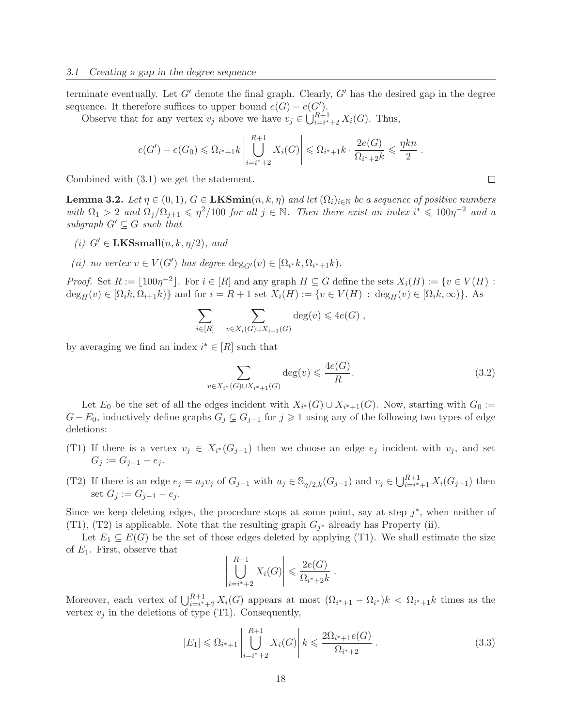terminate eventually. Let  $G'$  denote the final graph. Clearly,  $G'$  has the desired gap in the degree sequence. It therefore suffices to upper bound  $e(G) - e(G')$ .

Observe that for any vertex  $v_j$  above we have  $v_j \in \bigcup_{i=i^*+2}^{R+1} X_i(G)$ . Thus,

$$
e(G') - e(G_0) \le \Omega_{i^*+1} k \left| \bigcup_{i=i^*+2}^{R+1} X_i(G) \right| \le \Omega_{i^*+1} k \cdot \frac{2e(G)}{\Omega_{i^*+2} k} \le \frac{\eta k n}{2}
$$

Combined with (3.1) we get the statement.

**Lemma 3.2.** *Let*  $\eta \in (0,1)$ *,*  $G \in \mathbf{LKSmin}(n,k,\eta)$  *and let*  $(\Omega_i)_{i \in \mathbb{N}}$  *be a sequence of positive numbers with*  $\Omega_1 > 2$  *and*  $\Omega_j/\Omega_{j+1} \leq \eta^2/100$  *for all*  $j \in \mathbb{N}$ . Then there exist an index  $i^* \leq 100\eta^{-2}$  *and a subgraph*  $G' \subset G$  *such that* 

- *(i)*  $G' \in \textbf{LKSmall}(n, k, \eta/2)$ *, and*
- (*ii*) *no vertex*  $v \in V(G')$  *has degree*  $\deg_{G'}(v) \in [\Omega_{i^*}k, \Omega_{i^*+1}k)$ *.*

*Proof.* Set  $R := \lfloor 100\eta^{-2} \rfloor$ . For  $i \in [R]$  and any graph  $H \subseteq G$  define the sets  $X_i(H) := \{v \in V(H) :$  $\deg_H(v) \in [\Omega_i k, \Omega_{i+1} k]$  and for  $i = R + 1$  set  $X_i(H) := \{v \in V(H) : \deg_H(v) \in [\Omega_i k, \infty)\}\.$  As

$$
\sum_{i \in [R]} \sum_{v \in X_i(G) \cup X_{i+1}(G)} \deg(v) \leqslant 4e(G) ,
$$

by averaging we find an index  $i^* \in [R]$  such that

$$
\sum_{v \in X_{i^*}(G) \cup X_{i^*+1}(G)} \deg(v) \leq \frac{4e(G)}{R}.
$$
\n(3.2)

Let  $E_0$  be the set of all the edges incident with  $X_{i^*}(G) \cup X_{i^*+1}(G)$ . Now, starting with  $G_0 :=$  $G - E_0$ , inductively define graphs  $G_j \subsetneq G_{j-1}$  for  $j \geq 1$  using any of the following two types of edge deletions:

- (T1) If there is a vertex  $v_j \in X_{i^*}(G_{j-1})$  then we choose an edge  $e_j$  incident with  $v_j$ , and set  $G_i := G_{i-1} - e_i$ .
- (T2) If there is an edge  $e_j = u_j v_j$  of  $G_{j-1}$  with  $u_j \in \mathbb{S}_{\eta/2,k}(G_{j-1})$  and  $v_j \in \bigcup_{i=i^*+1}^{R+1} X_i(G_{j-1})$  then set  $G_j := G_{j-1} - e_j$ .

Since we keep deleting edges, the procedure stops at some point, say at step  $j^*$ , when neither of (T1), (T2) is applicable. Note that the resulting graph  $G_{j^*}$  already has Property (ii).

Let  $E_1 \subseteq E(G)$  be the set of those edges deleted by applying (T1). We shall estimate the size of  $E_1$ . First, observe that

$$
\left|\bigcup_{i=i^*+2}^{R+1} X_i(G)\right| \leqslant \frac{2e(G)}{\Omega_{i^*+2}k}.
$$

Moreover, each vertex of  $\bigcup_{i=i^*+2}^{R+1} X_i(G)$  appears at most  $(\Omega_{i^*+1} - \Omega_{i^*})k < \Omega_{i^*+1}k$  times as the vertex  $v_j$  in the deletions of type (T1). Consequently,

$$
|E_1| \leq \Omega_{i^*+1} \left| \bigcup_{i=i^*+2}^{R+1} X_i(G) \right| k \leq \frac{2\Omega_{i^*+1}e(G)}{\Omega_{i^*+2}}.
$$
 (3.3)

 $\Box$ 

.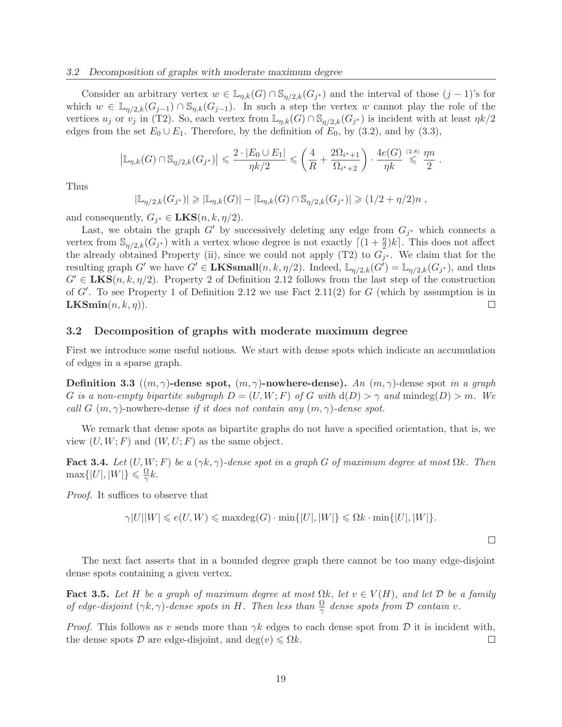Consider an arbitrary vertex  $w \in \mathbb{L}_{\eta,k}(G) \cap \mathbb{S}_{\eta/2,k}(G_j^*)$  and the interval of those  $(j-1)$ 's for which  $w \in \mathbb{L}_{\eta/2,k}(G_{j-1}) \cap \mathbb{S}_{\eta,k}(G_{j-1})$ . In such a step the vertex w cannot play the role of the vertices  $u_j$  or  $v_j$  in (T2). So, each vertex from  $\mathbb{L}_{\eta,k}(G) \cap \mathbb{S}_{\eta/2,k}(G_{j^*})$  is incident with at least  $\eta k/2$ edges from the set  $E_0 \cup E_1$ . Therefore, by the definition of  $E_0$ , by (3.2), and by (3.3),

$$
\left| \mathbb{L}_{\eta,k}(G) \cap \mathbb{S}_{\eta/2,k}(G_{j^*}) \right| \leqslant \frac{2 \cdot |E_0 \cup E_1|}{\eta k/2} \leqslant \left( \frac{4}{R} + \frac{2 \Omega_{i^*+1}}{\Omega_{i^*+2}} \right) \cdot \frac{4e(G)}{\eta k} \stackrel{(2.8)}{\leqslant} \frac{\eta n}{2} .
$$

Thus

$$
|\mathbb{L}_{\eta/2,k}(G_{j^*})| \geq |\mathbb{L}_{\eta,k}(G)| - |\mathbb{L}_{\eta,k}(G) \cap \mathbb{S}_{\eta/2,k}(G_{j^*})| \geq (1/2 + \eta/2)n,
$$

and consequently,  $G_{j^*} \in \textbf{LKS}(n, k, \eta/2)$ .

Last, we obtain the graph G' by successively deleting any edge from  $G_{j^*}$  which connects a vertex from  $\mathbb{S}_{\eta/2,k}(G_{j^*})$  with a vertex whose degree is not exactly  $\lceil (1+\frac{\eta}{2})k \rceil$ . This does not affect the already obtained Property (ii), since we could not apply (T2) to  $G_{j^*}$ . We claim that for the resulting graph G' we have  $G' \in \mathbf{LKSsmall}(n, k, \eta/2)$ . Indeed,  $\mathbb{L}_{\eta/2,k}(G') = \mathbb{L}_{\eta/2,k}(G_{j^*})$ , and thus  $G' \in \text{LKS}(n, k, \eta/2)$ . Property 2 of Definition 2.12 follows from the last step of the construction of G′ . To see Property 1 of Definition 2.12 we use Fact 2.11(2) for G (which by assumption is in **).**  $\Box$ 

#### 3.2 Decomposition of graphs with moderate maximum degree

First we introduce some useful notions. We start with dense spots which indicate an accumulation of edges in a sparse graph.

Definition 3.3 ((m, γ)-dense spot, (m, γ)-nowhere-dense). *An* (m, γ)-dense spot *in a graph* G is a non-empty bipartite subgraph  $D = (U, W; F)$  of G with  $d(D) > \gamma$  and  $mindeg(D) > m$ . We *call* G  $(m, \gamma)$ -nowhere-dense *if it does not contain any*  $(m, \gamma)$ -dense spot.

We remark that dense spots as bipartite graphs do not have a specified orientation, that is, we view  $(U, W; F)$  and  $(W, U; F)$  as the same object.

Fact 3.4. *Let*  $(U, W; F)$  *be a*  $(\gamma k, \gamma)$ *-dense spot in a graph* G *of maximum degree at most*  $\Omega k$ *. Then*  $\max\{|U|,|W|\} \leqslant \frac{\Omega}{\gamma}$  $\frac{\Delta L}{\gamma}k$ .

*Proof.* It suffices to observe that

$$
\gamma|U||W| \leqslant e(U,W) \leqslant \max \deg(G) \cdot \min \{|U|,|W|\} \leqslant \Omega k \cdot \min \{|U|,|W|\}.
$$

 $\Box$ 

The next fact asserts that in a bounded degree graph there cannot be too many edge-disjoint dense spots containing a given vertex.

Fact 3.5. Let H be a graph of maximum degree at most  $\Omega k$ , let  $v \in V(H)$ , and let D be a family *of edge-disjoint*  $(\gamma k, \gamma)$ -dense spots in H. Then less than  $\frac{\Omega}{\gamma}$  dense spots from D contain v.

*Proof.* This follows as v sends more than  $\gamma k$  edges to each dense spot from  $D$  it is incident with, the dense spots  $D$  are edge-disjoint, and deg $(v) \le \Omega k$ . the dense spots D are edge-disjoint, and deg $(v) \le \Omega k$ .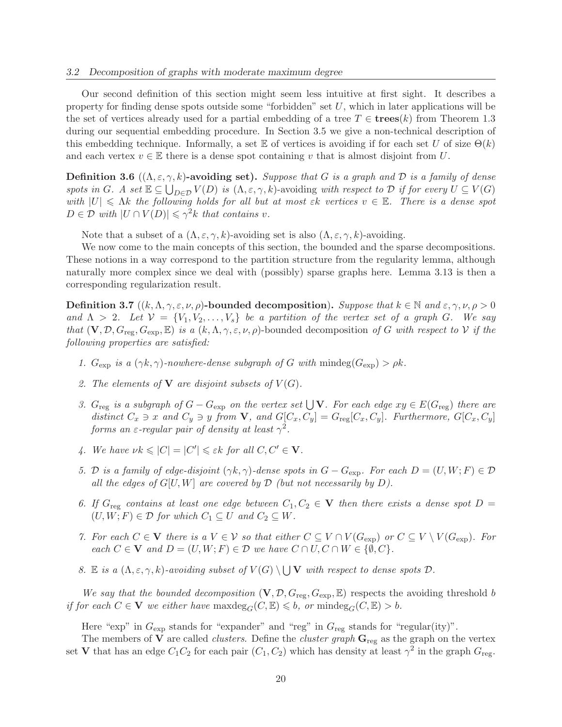Our second definition of this section might seem less intuitive at first sight. It describes a property for finding dense spots outside some "forbidden" set  $U$ , which in later applications will be the set of vertices already used for a partial embedding of a tree  $T \in \mathbf{trees}(k)$  from Theorem 1.3 during our sequential embedding procedure. In Section 3.5 we give a non-technical description of this embedding technique. Informally, a set E of vertices is avoiding if for each set U of size  $\Theta(k)$ and each vertex  $v \in \mathbb{E}$  there is a dense spot containing v that is almost disjoint from U.

**Definition 3.6**  $((\Lambda, \varepsilon, \gamma, k)$ -avoiding set). Suppose that G is a graph and D is a family of dense *spots in* G. A set  $\mathbb{E} \subseteq \bigcup_{D \in \mathcal{D}} V(D)$  *is*  $(\Lambda, \varepsilon, \gamma, k)$ -avoiding *with respect to*  $\mathcal{D}$  *if for every*  $U \subseteq V(G)$ *with*  $|U| \leq \Lambda k$  *the following holds for all but at most*  $\varepsilon k$  *vertices*  $v \in \mathbb{E}$ *. There is a dense spot*  $D \in \mathcal{D}$  with  $|U \cap V(D)| \leq \gamma^2 k$  that contains v.

Note that a subset of a  $(\Lambda, \varepsilon, \gamma, k)$ -avoiding set is also  $(\Lambda, \varepsilon, \gamma, k)$ -avoiding.

We now come to the main concepts of this section, the bounded and the sparse decompositions. These notions in a way correspond to the partition structure from the regularity lemma, although naturally more complex since we deal with (possibly) sparse graphs here. Lemma 3.13 is then a corresponding regularization result.

**Definition 3.7**  $((k, \Lambda, \gamma, \varepsilon, \nu, \rho)$ -bounded decomposition). Suppose that  $k \in \mathbb{N}$  and  $\varepsilon, \gamma, \nu, \rho > 0$ *and*  $\Lambda > 2$ *. Let*  $V = \{V_1, V_2, \ldots, V_s\}$  *be a partition of the vertex set of a graph G. We say that*  $(V, \mathcal{D}, G_{\text{reg}}, G_{\text{exp}}, \mathbb{E})$  *is a*  $(k, \Lambda, \gamma, \varepsilon, \nu, \rho)$ -bounded decomposition of G with respect to V if the *following properties are satisfied:*

- *1.*  $G_{\text{exp}}$  *is a*  $(\gamma k, \gamma)$ *-nowhere-dense subgraph of* G *with* mindeg $(G_{\text{exp}}) > \rho k$ .
- 2. The elements of **V** are disjoint subsets of  $V(G)$ .
- *3.*  $G_{reg}$  *is a subgraph of*  $G G_{exp}$  *on the vertex set*  $\bigcup$ **V***. For each edge*  $xy \in E(G_{reg})$  *there are distinct*  $C_x \ni x$  *and*  $C_y \ni y$  *from* **V**, *and*  $G[C_x, C_y] = G_{reg}[C_x, C_y]$ *. Furthermore,*  $G[C_x, C_y]$ *forms an*  $\varepsilon$ -regular pair of density at least  $\gamma^2$ .
- 4. We have  $\nu k \leqslant |C| = |C'| \leqslant \varepsilon k$  for all  $C, C' \in \mathbf{V}$ .
- *5.* D is a family of edge-disjoint  $(\gamma k, \gamma)$ -dense spots in  $G G_{\text{exp}}$ . For each  $D = (U, W; F) \in \mathcal{D}$ *all the edges of*  $G[U, W]$  *are covered by*  $D$  *(but not necessarily by*  $D$ *).*
- 6. If  $G_{reg}$  contains at least one edge between  $C_1, C_2 \in V$  then there exists a dense spot  $D =$  $(U, W; F) \in \mathcal{D}$  *for which*  $C_1 \subseteq U$  *and*  $C_2 \subseteq W$ *.*
- *7. For each*  $C \in V$  *there is a*  $V \in V$  *so that either*  $C \subseteq V \cap V(G_{exp})$  *or*  $C \subseteq V \setminus V(G_{exp})$ *. For each*  $C \in \mathbf{V}$  *and*  $D = (U, W; F) \in \mathcal{D}$  *we have*  $C \cap U, C \cap W \in \{ \emptyset, C \}.$
- *8.* E *is a*  $(\Lambda, \varepsilon, \gamma, k)$ -avoiding subset of  $V(G) \setminus \bigcup V$  with respect to dense spots  $D$ .

*We say that the bounded decomposition*  $(V, \mathcal{D}, G_{reg}, G_{exp}, \mathbb{E})$  respects the avoiding threshold b *if for each*  $C \in V$  *we either have* max $\deg_G(C, \mathbb{E}) \leq b$ *, or* minde $g_G(C, \mathbb{E}) > b$ *.* 

Here "exp" in  $G_{\text{exp}}$  stands for "expander" and "reg" in  $G_{\text{reg}}$  stands for "regular(ity)".

The members of  $V$  are called *clusters*. Define the *cluster graph*  $G_{reg}$  as the graph on the vertex set **V** that has an edge  $C_1C_2$  for each pair  $(C_1, C_2)$  which has density at least  $\gamma^2$  in the graph  $G_{reg}$ .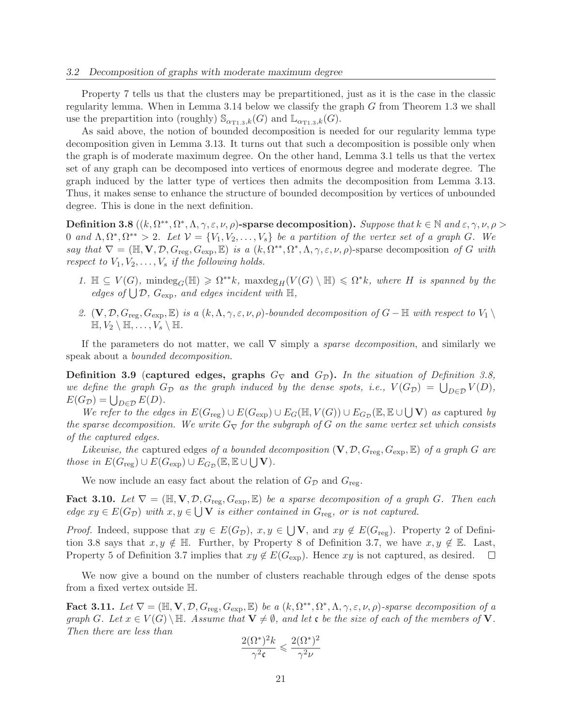Property 7 tells us that the clusters may be prepartitioned, just as it is the case in the classic regularity lemma. When in Lemma 3.14 below we classify the graph G from Theorem 1.3 we shall use the prepartition into (roughly)  $\mathbb{S}_{\alpha_{T1,3},k}(G)$  and  $\mathbb{L}_{\alpha_{T1,3},k}(G)$ .

As said above, the notion of bounded decomposition is needed for our regularity lemma type decomposition given in Lemma 3.13. It turns out that such a decomposition is possible only when the graph is of moderate maximum degree. On the other hand, Lemma 3.1 tells us that the vertex set of any graph can be decomposed into vertices of enormous degree and moderate degree. The graph induced by the latter type of vertices then admits the decomposition from Lemma 3.13. Thus, it makes sense to enhance the structure of bounded decomposition by vertices of unbounded degree. This is done in the next definition.

 $\textbf{Definition 3.8}$   $((k, \Omega^{**}, \Omega^*, \Lambda, \gamma, \varepsilon, \nu, \rho)$ -sparse decomposition). *Suppose that*  $k \in \mathbb{N}$  and  $\varepsilon, \gamma, \nu, \rho >$ 0 and  $\Lambda$ ,  $\Omega^*, \Omega^{**} > 2$ . Let  $\mathcal{V} = \{V_1, V_2, \ldots, V_s\}$  be a partition of the vertex set of a graph G. We *say that*  $\nabla = (\mathbb{H}, \mathbf{V}, \mathcal{D}, G_{\text{reg}}, G_{\text{exp}}, \mathbb{E})$  *is a*  $(k, \Omega^{**}, \Omega^*, \Lambda, \gamma, \varepsilon, \nu, \rho)$ -sparse decomposition of G with *respect to*  $V_1, V_2, \ldots, V_s$  *if the following holds.* 

- 1.  $\mathbb{H} \subseteq V(G)$ ,  $\text{mindeg}_G(\mathbb{H}) \geq \Omega^{**}k$ ,  $\text{maxdeg}_H(V(G) \setminus \mathbb{H}) \leq \Omega^*k$ , where *H* is spanned by the *edges of*  $\bigcup \mathcal{D}$ ,  $G_{\text{exp}}$ , and edges incident with  $\mathbb{H}$ ,
- 2.  $(V, \mathcal{D}, G_{reg}, G_{exp}, \mathbb{E})$  *is a*  $(k, \Lambda, \gamma, \varepsilon, \nu, \rho)$ *-bounded decomposition of*  $G \mathbb{H}$  *with respect to*  $V_1 \setminus$  $\mathbb{H}, V_2 \setminus \mathbb{H}, \ldots, V_s \setminus \mathbb{H}.$

If the parameters do not matter, we call ∇ simply a *sparse decomposition*, and similarly we speak about a *bounded decomposition*.

Definition 3.9 (captured edges, graphs  $G_{\nabla}$  and  $G_{\mathcal{D}}$ ). In the situation of Definition 3.8, *we define the graph*  $G_{\mathcal{D}}$  *as the graph induced by the dense spots, i.e.,*  $V(G_{\mathcal{D}}) = \bigcup_{D \in \mathcal{D}} V(D)$ *,*  $E(G_{\mathcal{D}}) = \bigcup_{D \in \mathcal{D}} E(D).$ 

*We refer to the edges in*  $E(G_{reg}) \cup E(G_{exp}) \cup E_G(\mathbb{H}, V(G)) \cup E_{G_{\mathcal{D}}}(\mathbb{E}, \mathbb{E} \cup \bigcup \mathbf{V})$  *as* captured *by the sparse decomposition. We write*  $G_{\nabla}$  *for the subgraph of* G *on the same vertex set which consists of the captured edges.*

*Likewise, the* captured edges *of a bounded decomposition*  $(V, \mathcal{D}, G_{\text{reg}}, G_{\text{exp}}, \mathbb{E})$  *of a graph* G *are those in*  $E(G_{\text{reg}}) \cup E(G_{\text{exp}}) \cup E_{G_{\mathcal{D}}}(\mathbb{E}, \mathbb{E} \cup \bigcup \mathbf{V}).$ 

We now include an easy fact about the relation of  $G_{\mathcal{D}}$  and  $G_{\text{reg}}$ .

Fact 3.10. Let  $\nabla = (\mathbb{H}, \mathbf{V}, \mathcal{D}, G_{\text{reg}}, G_{\text{exp}}, \mathbb{E})$  be a sparse decomposition of a graph G. Then each *edge*  $xy \in E(G_{\mathcal{D}})$  *with*  $x, y \in \bigcup V$  *is either contained in*  $G_{reg}$ *, or is not captured.* 

*Proof.* Indeed, suppose that  $xy \in E(G_{\mathcal{D}}), x, y \in \bigcup V$ , and  $xy \notin E(G_{\text{reg}})$ . Property 2 of Definition 3.8 says that  $x, y \notin \mathbb{H}$ . Further, by Property 8 of Definition 3.7, we have  $x, y \notin \mathbb{E}$ . Last, Property 5 of Definition 3.7 implies that  $xy \notin E(G_{\text{exp}})$ . Hence  $xy$  is not captured, as desired.  $\square$ Property 5 of Definition 3.7 implies that  $xy \notin E(G_{exp})$ . Hence  $xy$  is not captured, as desired.

We now give a bound on the number of clusters reachable through edges of the dense spots from a fixed vertex outside H.

Fact 3.11. Let  $\nabla = (\mathbb{H}, \mathbf{V}, \mathcal{D}, G_{\text{reg}}, G_{\text{exp}}, \mathbb{E})$  be a  $(k, \Omega^{**}, \Omega^*, \Lambda, \gamma, \varepsilon, \nu, \rho)$ -sparse decomposition of a *graph* G. Let  $x \in V(G) \setminus \mathbb{H}$ . Assume that  $V \neq \emptyset$ , and let c be the size of each of the members of V. *Then there are less than*

$$
\frac{2(\Omega^*)^2 k}{\gamma^2 \mathfrak{c}} \leqslant \frac{2(\Omega^*)^2}{\gamma^2 \nu}
$$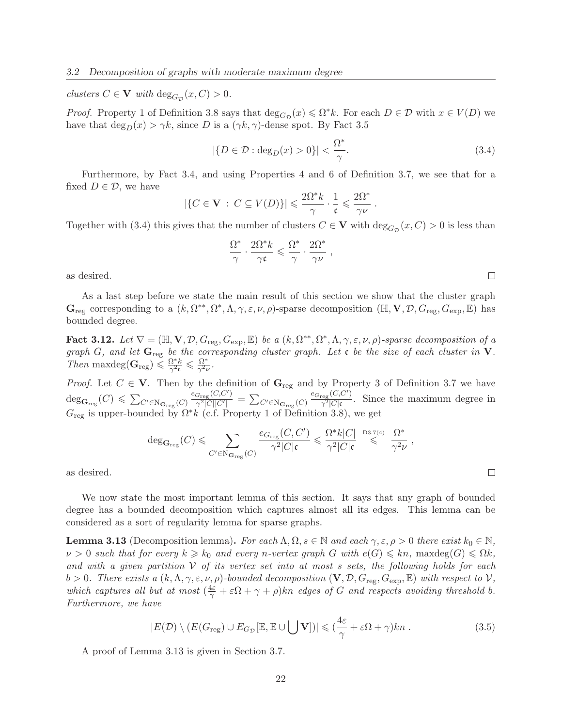*clusters*  $C \in V$  *with*  $\deg_{G_{\mathcal{D}}}(x, C) > 0$ *.* 

*Proof.* Property 1 of Definition 3.8 says that  $\deg_{G_{\mathcal{D}}}(x) \leq \Omega^* k$ . For each  $D \in \mathcal{D}$  with  $x \in V(D)$  we have that  $\deg_D(x) > \gamma k$ , since D is a  $(\gamma k, \gamma)$ -dense spot. By Fact 3.5

$$
|\{D \in \mathcal{D} : \deg_D(x) > 0\}| < \frac{\Omega^*}{\gamma}.\tag{3.4}
$$

Furthermore, by Fact 3.4, and using Properties 4 and 6 of Definition 3.7, we see that for a fixed  $D \in \mathcal{D}$ , we have

$$
|\{C\in {\bf V}\,:\,C\subseteq V(D)\}|\leqslant \frac{2\Omega^*k}{\gamma}\cdot\frac{1}{\mathfrak{c}}\leqslant \frac{2\Omega^*}{\gamma\nu}\;.
$$

Together with (3.4) this gives that the number of clusters  $C \in V$  with  $\deg_{G_{\mathcal{D}}}(x, C) > 0$  is less than

$$
\frac{\Omega^*}{\gamma}\cdot\frac{2\Omega^*k}{\gamma\mathfrak{c}}\leqslant \frac{\Omega^*}{\gamma}\cdot\frac{2\Omega^*}{\gamma\nu}\;,
$$

as desired.

As a last step before we state the main result of this section we show that the cluster graph  $\mathbf{G}_{reg}$  corresponding to a  $(k, \Omega^{**}, \Omega^*, \Lambda, \gamma, \varepsilon, \nu, \rho)$ -sparse decomposition  $(\mathbb{H}, \mathbf{V}, \mathcal{D}, G_{reg}, G_{exp}, \mathbb{E})$  has bounded degree.

Fact 3.12. Let  $\nabla = (\mathbb{H}, \mathbf{V}, \mathcal{D}, G_{\text{reg}}, G_{\text{exp}}, \mathbb{E})$  be a  $(k, \Omega^{**}, \Omega^*, \Lambda, \gamma, \varepsilon, \nu, \rho)$ -sparse decomposition of a *graph* G, and let  $\mathbf{G}_{reg}$  *be the corresponding cluster graph. Let*  $\mathbf{c}$  *be the size of each cluster in*  $\mathbf{V}$ *. Then* maxdeg $(\mathbf{G}_{reg}) \leq \frac{\Omega^* k}{\gamma^2 c}$  $\frac{\Omega^* k}{\gamma^2$ ς  $\leqslant \frac{\Omega^*}{\gamma^2}$  $\frac{\Omega^+}{\gamma^2 \nu}.$ 

*Proof.* Let  $C \in \mathbf{V}$ . Then by the definition of  $\mathbf{G}_{reg}$  and by Property 3 of Definition 3.7 we have  $\deg_{\mathbf{G}_{\text{reg}}}(C) \leqslant \sum_{C' \in \mathrm{N}_{\mathbf{G}_{\text{reg}}}(C)}$  $e_{G_{\text{reg}}}(C,C')$  $\frac{G_{\text{reg}}(\mathcal{O}, \mathcal{O}^{-})}{\gamma^2 |C||C'|} = \sum_{C' \in \mathrm{N}_{\mathbf{G}_{\text{reg}}}(C)}$  $e_{G_{\text{reg}}}(C,C')$  $\frac{\text{reg}(\mathcal{O}, \mathcal{O})}{\gamma^2 |C|\mathfrak{c}}$ . Since the maximum degree in  $G_{\text{reg}}$  is upper-bounded by  $\Omega^* k$  (c.f. Property 1 of Definition 3.8), we get

$$
\deg_{\mathbf{G}_{\mathrm{reg}}}(C) \leqslant \sum_{C' \in \mathrm{N}_{\mathbf{G}_{\mathrm{reg}}}(C)} \frac{e_{G_{\mathrm{reg}}}(C,C')}{\gamma^2 |C| \mathfrak{c}} \leqslant \frac{\Omega^* k |C|}{\gamma^2 |C| \mathfrak{c}} \overset{\mathrm{D}^3\mathcal{I}(4)}{\leqslant} \frac{\Omega^*}{\gamma^2 \nu} ,
$$

as desired.

We now state the most important lemma of this section. It says that any graph of bounded degree has a bounded decomposition which captures almost all its edges. This lemma can be considered as a sort of regularity lemma for sparse graphs.

**Lemma 3.13** (Decomposition lemma). For each  $\Lambda, \Omega, s \in \mathbb{N}$  and each  $\gamma, \varepsilon, \rho > 0$  there exist  $k_0 \in \mathbb{N}$ ,  $\nu > 0$  such that for every  $k \geq k_0$  and every n-vertex graph G with  $e(G) \leq k n$ , maxdeg $(G) \leq \Omega k$ , *and with a given partition* V *of its vertex set into at most* s *sets, the following holds for each* b > 0. There exists a  $(k, \Lambda, \gamma, \varepsilon, \nu, \rho)$ -bounded decomposition  $(V, \mathcal{D}, G_{reg}, G_{exp}, \mathbb{E})$  with respect to  $V$ , which captures all but at most  $(\frac{4\varepsilon}{\gamma} + \varepsilon \Omega + \gamma + \rho)kn$  edges of G and respects avoiding threshold b. *Furthermore, we have*

$$
|E(\mathcal{D}) \setminus (E(G_{\text{reg}}) \cup E_{G_{\mathcal{D}}}[\mathbb{E}, \mathbb{E} \cup \bigcup \mathbf{V}])| \leqslant (\frac{4\varepsilon}{\gamma} + \varepsilon \Omega + \gamma)kn . \tag{3.5}
$$

A proof of Lemma 3.13 is given in Section 3.7.

 $\Box$ 

 $\Box$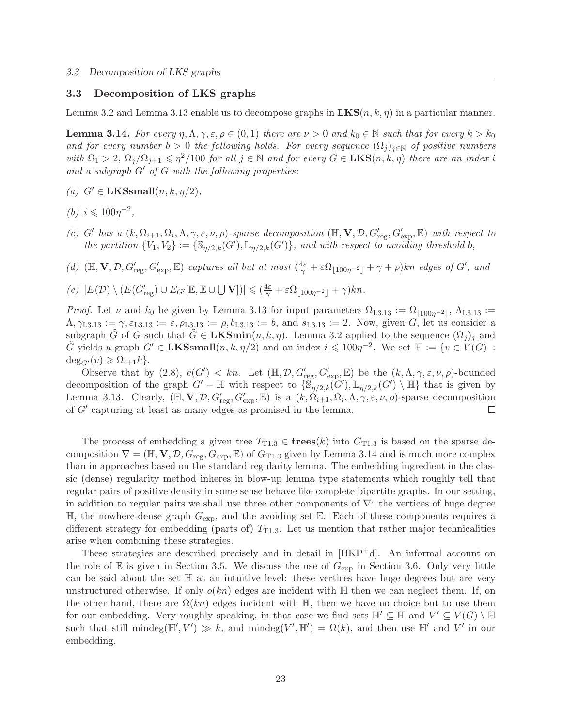#### 3.3 Decomposition of LKS graphs

Lemma 3.2 and Lemma 3.13 enable us to decompose graphs in  $LKS(n, k, \eta)$  in a particular manner.

**Lemma 3.14.** *For every*  $\eta, \Lambda, \gamma, \varepsilon, \rho \in (0, 1)$  *there are*  $\nu > 0$  *and*  $k_0 \in \mathbb{N}$  *such that for every*  $k > k_0$ *and for every number*  $b > 0$  *the following holds. For every sequence*  $(\Omega_i)_{i \in \mathbb{N}}$  *of positive numbers with*  $\Omega_1 > 2$ ,  $\Omega_j/\Omega_{j+1} \leq \eta^2/100$  *for all*  $j \in \mathbb{N}$  *and for every*  $G \in \mathbf{LKS}(n, k, \eta)$  *there are an index i and a subgraph* G′ *of* G *with the following properties:*

- $(a)$   $G' \in$  **LKSsmall** $(n, k, \eta/2)$ *,*
- *(b)*  $i \leq 100\eta^{-2}$ ,
- (c) G' has a  $(k, \Omega_{i+1}, \Omega_i, \Lambda, \gamma, \varepsilon, \nu, \rho)$ *-sparse decomposition*  $(\mathbb{H}, \mathbf{V}, \mathcal{D}, G'_{reg}, G'_{exp}, \mathbb{E})$  *with respect to the partition*  $\{V_1, V_2\} := \{\mathbb{S}_{\eta/2,k}(G'), \mathbb{L}_{\eta/2,k}(G')\}$ *, and with respect to avoiding threshold b,*
- (d)  $(\mathbb{H}, \mathbf{V}, \mathcal{D}, G'_{reg}, G'_{exp}, \mathbb{E})$  *captures all but at most*  $(\frac{4\varepsilon}{\gamma} + \varepsilon \Omega_{\lfloor 100\eta^{-2} \rfloor} + \gamma + \rho)kn$  *edges of*  $G'$ , *and*
- $(e)$   $|E(\mathcal{D}) \setminus (E(G'_{reg}) \cup E_{G'}[\mathbb{E}, \mathbb{E} \cup \bigcup \mathbf{V}])| \leqslant (\frac{4\varepsilon}{\gamma} + \varepsilon \Omega_{\lfloor 100\eta^{-2} \rfloor} + \gamma)kn.$

*Proof.* Let  $\nu$  and  $k_0$  be given by Lemma 3.13 for input parameters  $\Omega_{L3.13} := \Omega_{\lfloor 100\eta^{-2} \rfloor}$ ,  $\Lambda_{L3.13} :=$  $\Lambda, \gamma_{L3.13} := \gamma, \varepsilon_{L3.13} := \varepsilon, \rho_{L3.13} := \rho, b_{L3.13} := b$ , and  $s_{L3.13} := 2$ . Now, given G, let us consider a subgraph  $\tilde{G}$  of G such that  $\tilde{G} \in \mathbf{LKSmin}(n, k, \eta)$ . Lemma 3.2 applied to the sequence  $(\Omega_j)_j$  and  $\tilde{G}$  yields a graph  $G' \in \mathbf{LKSsmall}(n, k, \eta/2)$  and an index  $i \leq 100\eta^{-2}$ . We set  $\mathbb{H} := \{v \in V(G) :$  $deg_{G'}(v) \geqslant \Omega_{i+1}k$ .

Observe that by  $(2.8)$ ,  $e(G') < kn$ . Let  $(\mathbb{H}, \mathcal{D}, G'_{reg}, G'_{exp}, \mathbb{E})$  be the  $(k, \Lambda, \gamma, \varepsilon, \nu, \rho)$ -bounded decomposition of the graph  $G'$  –  $\mathbb H$  with respect to  $\{\mathbb S_{\eta/2,k}(G'), \mathbb L_{\eta/2,k}(G')\setminus \mathbb H\}$  that is given by Lemma 3.13. Clearly,  $(\mathbb{H}, \mathbf{V}, \mathcal{D}, G'_{reg}, G'_{exp}, \mathbb{E})$  is a  $(k, \Omega_{i+1}, \Omega_i, \Lambda, \gamma, \varepsilon, \nu, \rho)$ -sparse decomposition of G′ capturing at least as many edges as promised in the lemma.  $\Box$ 

The process of embedding a given tree  $T_{T1.3} \in \mathbf{trees}(k)$  into  $G_{T1.3}$  is based on the sparse decomposition  $\nabla = (\mathbb{H}, \mathbf{V}, \mathcal{D}, G_{\text{reg}}, G_{\text{exp}}, \mathbb{E})$  of  $G_{\text{T1.3}}$  given by Lemma 3.14 and is much more complex than in approaches based on the standard regularity lemma. The embedding ingredient in the classic (dense) regularity method inheres in blow-up lemma type statements which roughly tell that regular pairs of positive density in some sense behave like complete bipartite graphs. In our setting, in addition to regular pairs we shall use three other components of  $\nabla$ : the vertices of huge degree  $\mathbb{H}$ , the nowhere-dense graph  $G_{\text{exp}}$ , and the avoiding set  $\mathbb{E}$ . Each of these components requires a different strategy for embedding (parts of)  $T_{T1,3}$ . Let us mention that rather major technicalities arise when combining these strategies.

These strategies are described precisely and in detail in  $[HKP^+d]$ . An informal account on the role of  $\mathbb E$  is given in Section 3.5. We discuss the use of  $G_{\exp}$  in Section 3.6. Only very little can be said about the set H at an intuitive level: these vertices have huge degrees but are very unstructured otherwise. If only  $o(kn)$  edges are incident with  $\mathbb H$  then we can neglect them. If, on the other hand, there are  $\Omega(kn)$  edges incident with H, then we have no choice but to use them for our embedding. Very roughly speaking, in that case we find sets  $\mathbb{H}' \subseteq \mathbb{H}$  and  $V' \subseteq V(G) \setminus \mathbb{H}$ such that still mindeg( $\mathbb{H}', V' \gg k$ , and mindeg( $V', \mathbb{H}' = \Omega(k)$ , and then use  $\mathbb{H}'$  and  $V'$  in our embedding.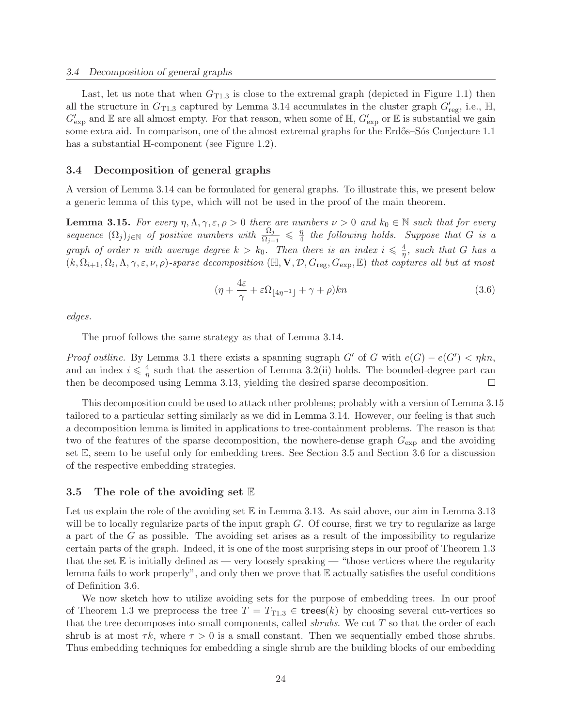Last, let us note that when  $G_{T1.3}$  is close to the extremal graph (depicted in Figure 1.1) then all the structure in  $G_{T1.3}$  captured by Lemma 3.14 accumulates in the cluster graph  $G'_{reg}$ , i.e.,  $\mathbb{H}$ ,  $G'_{\text{exp}}$  and  $\mathbb E$  are all almost empty. For that reason, when some of  $\mathbb H$ ,  $G'_{\text{exp}}$  or  $\mathbb E$  is substantial we gain some extra aid. In comparison, one of the almost extremal graphs for the Erdős–Sós Conjecture 1.1 has a substantial H-component (see Figure 1.2).

## 3.4 Decomposition of general graphs

A version of Lemma 3.14 can be formulated for general graphs. To illustrate this, we present below a generic lemma of this type, which will not be used in the proof of the main theorem.

**Lemma 3.15.** For every  $\eta, \Lambda, \gamma, \varepsilon, \rho > 0$  there are numbers  $\nu > 0$  and  $k_0 \in \mathbb{N}$  such that for every *sequence*  $(\Omega_j)_{j \in \mathbb{N}}$  *of positive numbers with*  $\frac{\Omega_j}{\Omega_{j+1}} \leqslant \frac{\eta_j}{4}$ 4 *the following holds. Suppose that* G *is a graph of order n with average degree*  $k > k_0$ . Then there is an index  $i \leq \frac{4}{n}$  $\frac{4}{\eta}$ *, such that* G *has a*  $(k, \Omega_{i+1}, \Omega_i, \Lambda, \gamma, \varepsilon, \nu, \rho)$ *-sparse decomposition* ( $\mathbb{H}, \mathbf{V}, \mathcal{D}, G_{reg}, G_{exp}, \mathbb{E})$  *that captures all but at most* 

$$
(\eta + \frac{4\varepsilon}{\gamma} + \varepsilon \Omega_{\lfloor 4\eta^{-1} \rfloor} + \gamma + \rho)kn
$$
\n(3.6)

*edges.*

The proof follows the same strategy as that of Lemma 3.14.

*Proof outline.* By Lemma 3.1 there exists a spanning sugraph  $G'$  of G with  $e(G) - e(G') < \eta k n$ , and an index  $i \leqslant \frac{4}{n}$  $\frac{4}{\eta}$  such that the assertion of Lemma 3.2(ii) holds. The bounded-degree part can then be decomposed using Lemma 3.13, yielding the desired sparse decomposition.  $\Box$ 

This decomposition could be used to attack other problems; probably with a version of Lemma 3.15 tailored to a particular setting similarly as we did in Lemma 3.14. However, our feeling is that such a decomposition lemma is limited in applications to tree-containment problems. The reason is that two of the features of the sparse decomposition, the nowhere-dense graph  $G_{\rm exp}$  and the avoiding set E, seem to be useful only for embedding trees. See Section 3.5 and Section 3.6 for a discussion of the respective embedding strategies.

#### 3.5 The role of the avoiding set  $E$

Let us explain the role of the avoiding set  $\mathbb E$  in Lemma 3.13. As said above, our aim in Lemma 3.13 will be to locally regularize parts of the input graph G. Of course, first we try to regularize as large a part of the G as possible. The avoiding set arises as a result of the impossibility to regularize certain parts of the graph. Indeed, it is one of the most surprising steps in our proof of Theorem 1.3 that the set  $\mathbb E$  is initially defined as — very loosely speaking — "those vertices where the regularity lemma fails to work properly", and only then we prove that  $E$  actually satisfies the useful conditions of Definition 3.6.

We now sketch how to utilize avoiding sets for the purpose of embedding trees. In our proof of Theorem 1.3 we preprocess the tree  $T = T_{T1.3} \in \text{trees}(k)$  by choosing several cut-vertices so that the tree decomposes into small components, called *shrubs*. We cut T so that the order of each shrub is at most  $\tau k$ , where  $\tau > 0$  is a small constant. Then we sequentially embed those shrubs. Thus embedding techniques for embedding a single shrub are the building blocks of our embedding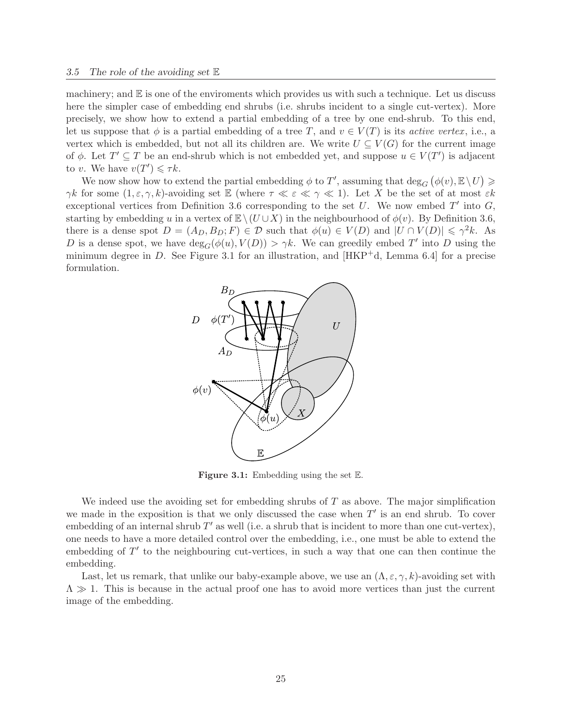machinery; and  $\mathbb E$  is one of the enviroments which provides us with such a technique. Let us discuss here the simpler case of embedding end shrubs (i.e. shrubs incident to a single cut-vertex). More precisely, we show how to extend a partial embedding of a tree by one end-shrub. To this end, let us suppose that  $\phi$  is a partial embedding of a tree T, and  $v \in V(T)$  is its *active vertex*, i.e., a vertex which is embedded, but not all its children are. We write  $U \subseteq V(G)$  for the current image of  $\phi$ . Let  $T' \subseteq T$  be an end-shrub which is not embedded yet, and suppose  $u \in V(T')$  is adjacent to v. We have  $v(T') \leq \tau k$ .

We now show how to extend the partial embedding  $\phi$  to T', assuming that  $\deg_G (\phi(v), \mathbb{E} \setminus U) \ge$ γk for some  $(1, \varepsilon, \gamma, k)$ -avoiding set  $\mathbb E$  (where  $\tau \ll \varepsilon \ll \gamma \ll 1$ ). Let X be the set of at most  $\varepsilon k$ exceptional vertices from Definition 3.6 corresponding to the set  $U$ . We now embed  $T'$  into  $G$ , starting by embedding u in a vertex of  $\mathbb{E}\setminus(U\cup X)$  in the neighbourhood of  $\phi(v)$ . By Definition 3.6, there is a dense spot  $D = (A_D, B_D; F) \in \mathcal{D}$  such that  $\phi(u) \in V(D)$  and  $|U \cap V(D)| \leq \gamma^2 k$ . As D is a dense spot, we have  $deg_G(\phi(u), V(D)) > \gamma k$ . We can greedily embed T' into D using the minimum degree in D. See Figure 3.1 for an illustration, and  $[HKP^+d, \text{ Lemma } 6.4]$  for a precise formulation.



**Figure 3.1:** Embedding using the set  $E$ .

We indeed use the avoiding set for embedding shrubs of  $T$  as above. The major simplification we made in the exposition is that we only discussed the case when  $T'$  is an end shrub. To cover embedding of an internal shrub  $T'$  as well (i.e. a shrub that is incident to more than one cut-vertex), one needs to have a more detailed control over the embedding, i.e., one must be able to extend the embedding of  $T'$  to the neighbouring cut-vertices, in such a way that one can then continue the embedding.

Last, let us remark, that unlike our baby-example above, we use an  $(\Lambda, \varepsilon, \gamma, k)$ -avoiding set with  $\Lambda \gg 1$ . This is because in the actual proof one has to avoid more vertices than just the current image of the embedding.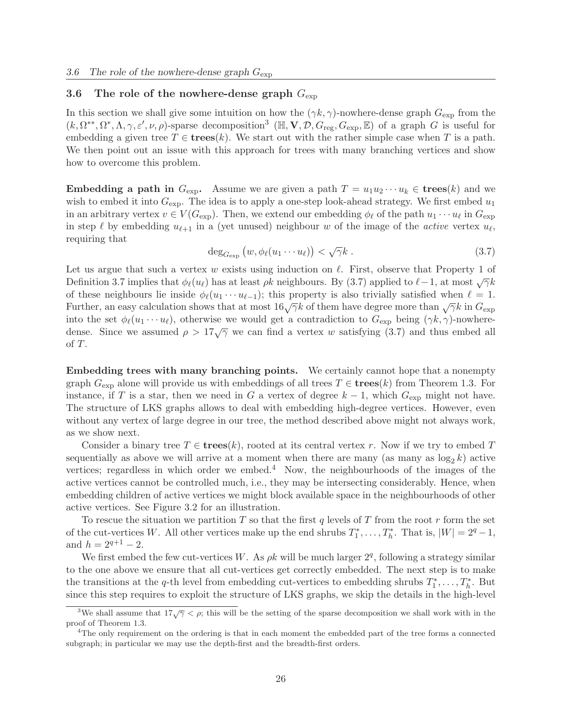# 3.6 The role of the nowhere-dense graph  $G_{\text{exp}}$

In this section we shall give some intuition on how the  $(\gamma k, \gamma)$ -nowhere-dense graph  $G_{\text{exp}}$  from the  $(k, \Omega^{**}, \Omega^*, \Lambda, \gamma, \varepsilon', \nu, \rho)$ -sparse decomposition<sup>3</sup> ( $\mathbb{H}, \mathbf{V}, \mathcal{D}, G_{reg}, G_{exp}, \mathbb{E}$ ) of a graph G is useful for embedding a given tree  $T \in \mathbf{trees}(k)$ . We start out with the rather simple case when T is a path. We then point out an issue with this approach for trees with many branching vertices and show how to overcome this problem.

**Embedding a path in**  $G_{\text{exp}}$ . Assume we are given a path  $T = u_1u_2\cdots u_k \in \text{trees}(k)$  and we wish to embed it into  $G_{\text{exp}}$ . The idea is to apply a one-step look-ahead strategy. We first embed  $u_1$ in an arbitrary vertex  $v \in V(G_{\text{exp}})$ . Then, we extend our embedding  $\phi_{\ell}$  of the path  $u_1 \cdots u_{\ell}$  in  $G_{\text{exp}}$ in step  $\ell$  by embedding  $u_{\ell+1}$  in a (yet unused) neighbour w of the image of the *active* vertex  $u_{\ell}$ , requiring that

$$
\deg_{G_{\exp}}\left(w, \phi_{\ell}(u_1 \cdots u_{\ell})\right) < \sqrt{\gamma}k \tag{3.7}
$$

Let us argue that such a vertex w exists using induction on  $\ell$ . First, observe that Property 1 of Definition 3.7 implies that  $\phi_{\ell}(u_{\ell})$  has at least  $\rho k$  neighbours. By (3.7) applied to  $\ell-1$ , at most  $\sqrt{\gamma}k$ of these neighbours lie inside  $\phi_{\ell}(u_1 \cdots u_{\ell-1})$ ; this property is also trivially satisfied when  $\ell = 1$ . Further, an easy calculation shows that at most  $16\sqrt{\gamma}k$  of them have degree more than  $\sqrt{\gamma}k$  in  $G_{\text{exp}}$ into the set  $\phi_{\ell}(u_1 \cdots u_{\ell})$ , otherwise we would get a contradiction to  $G_{\text{exp}}$  being  $(\gamma k, \gamma)$ -nowheredense. Since we assumed  $\rho > 17\sqrt{\gamma}$  we can find a vertex w satisfying (3.7) and thus embed all of T.

Embedding trees with many branching points. We certainly cannot hope that a nonempty graph  $G_{\text{exp}}$  alone will provide us with embeddings of all trees  $T \in \text{trees}(k)$  from Theorem 1.3. For instance, if T is a star, then we need in G a vertex of degree  $k - 1$ , which  $G_{\text{exp}}$  might not have. The structure of LKS graphs allows to deal with embedding high-degree vertices. However, even without any vertex of large degree in our tree, the method described above might not always work, as we show next.

Consider a binary tree  $T \in \mathbf{trees}(k)$ , rooted at its central vertex r. Now if we try to embed T sequentially as above we will arrive at a moment when there are many (as many as  $\log_2 k$ ) active vertices; regardless in which order we embed.<sup>4</sup> Now, the neighbourhoods of the images of the active vertices cannot be controlled much, i.e., they may be intersecting considerably. Hence, when embedding children of active vertices we might block available space in the neighbourhoods of other active vertices. See Figure 3.2 for an illustration.

To rescue the situation we partition T so that the first q levels of T from the root  $r$  form the set of the cut-vertices W. All other vertices make up the end shrubs  $T_1^*, \ldots, T_h^*$ . That is,  $|W| = 2^q - 1$ , and  $h = 2^{q+1} - 2$ .

We first embed the few cut-vertices W. As  $\rho k$  will be much larger  $2<sup>q</sup>$ , following a strategy similar to the one above we ensure that all cut-vertices get correctly embedded. The next step is to make the transitions at the q-th level from embedding cut-vertices to embedding shrubs  $T_1^*, \ldots, T_h^*$ . But since this step requires to exploit the structure of LKS graphs, we skip the details in the high-level

<sup>&</sup>lt;sup>3</sup>We shall assume that  $17\sqrt{\gamma} < \rho$ ; this will be the setting of the sparse decomposition we shall work with in the proof of Theorem 1.3.

<sup>4</sup>The only requirement on the ordering is that in each moment the embedded part of the tree forms a connected subgraph; in particular we may use the depth-first and the breadth-first orders.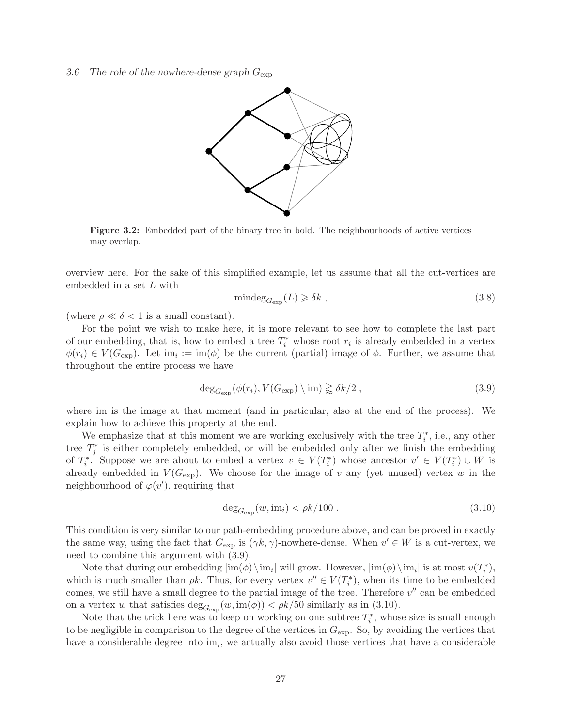

Figure 3.2: Embedded part of the binary tree in bold. The neighbourhoods of active vertices may overlap.

overview here. For the sake of this simplified example, let us assume that all the cut-vertices are embedded in a set L with

$$
\text{mindeg}_{G_{\text{exp}}}(L) \geq \delta k \tag{3.8}
$$

(where  $\rho \ll \delta < 1$  is a small constant).

For the point we wish to make here, it is more relevant to see how to complete the last part of our embedding, that is, how to embed a tree  $T_i^*$  whose root  $r_i$  is already embedded in a vertex  $\phi(r_i) \in V(G_{\text{exp}})$ . Let  $\text{im}_i := \text{im}(\phi)$  be the current (partial) image of  $\phi$ . Further, we assume that throughout the entire process we have

$$
\deg_{G_{\exp}}(\phi(r_i), V(G_{\exp}) \setminus \text{im}) \gtrapprox \delta k/2 , \qquad (3.9)
$$

where im is the image at that moment (and in particular, also at the end of the process). We explain how to achieve this property at the end.

We emphasize that at this moment we are working exclusively with the tree  $T_i^*$ , i.e., any other tree  $T_j^*$  is either completely embedded, or will be embedded only after we finish the embedding of  $T_i^*$ . Suppose we are about to embed a vertex  $v \in V(T_i^*)$  whose ancestor  $v' \in V(T_i^*) \cup W$  is already embedded in  $V(G_{\text{exp}})$ . We choose for the image of v any (yet unused) vertex w in the neighbourhood of  $\varphi(v')$ , requiring that

$$
\deg_{G_{\exp}}(w, \text{im}_i) < \rho k/100 \tag{3.10}
$$

This condition is very similar to our path-embedding procedure above, and can be proved in exactly the same way, using the fact that  $G_{\text{exp}}$  is  $(\gamma k, \gamma)$ -nowhere-dense. When  $v' \in W$  is a cut-vertex, we need to combine this argument with (3.9).

Note that during our embedding  $|\text{im}(\phi) \setminus \text{im}_i|$  will grow. However,  $|\text{im}(\phi) \setminus \text{im}_i|$  is at most  $v(T_i^*),$ which is much smaller than  $\rho k$ . Thus, for every vertex  $v'' \in V(T_i^*)$ , when its time to be embedded comes, we still have a small degree to the partial image of the tree. Therefore  $v''$  can be embedded on a vertex w that satisfies  $\deg_{G_{\exp}}(w, \text{im}(\phi)) < \rho k/50$  similarly as in (3.10).

Note that the trick here was to keep on working on one subtree  $T_i^*$ , whose size is small enough to be negligible in comparison to the degree of the vertices in  $G_{\text{exp}}$ . So, by avoiding the vertices that have a considerable degree into  $\text{im}_i$ , we actually also avoid those vertices that have a considerable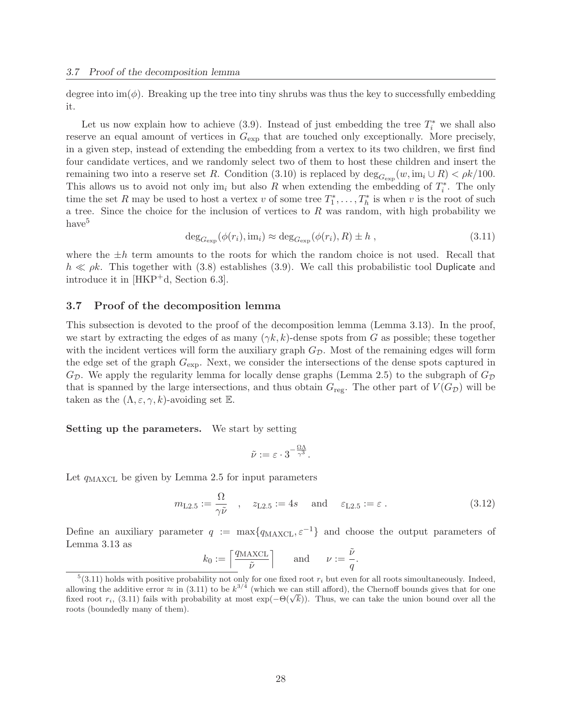degree into  $\text{im}(\phi)$ . Breaking up the tree into tiny shrubs was thus the key to successfully embedding it.

Let us now explain how to achieve (3.9). Instead of just embedding the tree  $T_i^*$  we shall also reserve an equal amount of vertices in  $G_{\text{exp}}$  that are touched only exceptionally. More precisely, in a given step, instead of extending the embedding from a vertex to its two children, we first find four candidate vertices, and we randomly select two of them to host these children and insert the remaining two into a reserve set R. Condition (3.10) is replaced by  $\deg_{G_{\exp}}(w, im_i \cup R) < \rho k/100$ . This allows us to avoid not only im<sub>i</sub> but also R when extending the embedding of  $T_i^*$ . The only time the set R may be used to host a vertex v of some tree  $T_1^*, \ldots, T_h^*$  is when v is the root of such a tree. Since the choice for the inclusion of vertices to  $R$  was random, with high probability we have<sup>5</sup>

$$
\deg_{G_{\exp}}(\phi(r_i), im_i) \approx \deg_{G_{\exp}}(\phi(r_i), R) \pm h , \qquad (3.11)
$$

where the  $\pm h$  term amounts to the roots for which the random choice is not used. Recall that  $h \ll \rho k$ . This together with (3.8) establishes (3.9). We call this probabilistic tool Duplicate and introduce it in [HKP+d, Section 6.3].

## 3.7 Proof of the decomposition lemma

This subsection is devoted to the proof of the decomposition lemma (Lemma 3.13). In the proof, we start by extracting the edges of as many  $(\gamma k, k)$ -dense spots from G as possible; these together with the incident vertices will form the auxiliary graph  $G_{\mathcal{D}}$ . Most of the remaining edges will form the edge set of the graph  $G_{\text{exp}}$ . Next, we consider the intersections of the dense spots captured in  $G_{\mathcal{D}}$ . We apply the regularity lemma for locally dense graphs (Lemma 2.5) to the subgraph of  $G_{\mathcal{D}}$ that is spanned by the large intersections, and thus obtain  $G_{reg}$ . The other part of  $V(G_{\mathcal{D}})$  will be taken as the  $(\Lambda, \varepsilon, \gamma, k)$ -avoiding set  $\mathbb{E}$ .

#### Setting up the parameters. We start by setting

$$
\tilde{\nu}:=\varepsilon\cdot 3^{-\frac{\Omega\Lambda}{\gamma^3}}.
$$

Let  $q_{\text{MAXCL}}$  be given by Lemma 2.5 for input parameters

$$
m_{\text{L2.5}} := \frac{\Omega}{\gamma \tilde{\nu}} \quad , \quad z_{\text{L2.5}} := 4s \quad \text{and} \quad \varepsilon_{\text{L2.5}} := \varepsilon \,. \tag{3.12}
$$

Define an auxiliary parameter  $q := \max\{q_{\text{MAXCL}}, \varepsilon^{-1}\}\$ and choose the output parameters of Lemma 3.13 as

$$
k_0 := \left\lceil \frac{q_{\text{MAXCL}}}{\tilde{\nu}} \right\rceil
$$
 and  $\nu := \frac{\tilde{\nu}}{q}$ .

 $5(3.11)$  holds with positive probability not only for one fixed root  $r_i$  but even for all roots simoultaneously. Indeed, allowing the additive error  $\approx$  in (3.11) to be  $k^{3/4}$  (which we can still afford), the Chernoff bounds gives that for one fixed root  $r_i$ , (3.11) fails with probability at most  $\exp(-\Theta(\sqrt{k}))$ . Thus, we can take the union bound over all the roots (boundedly many of them).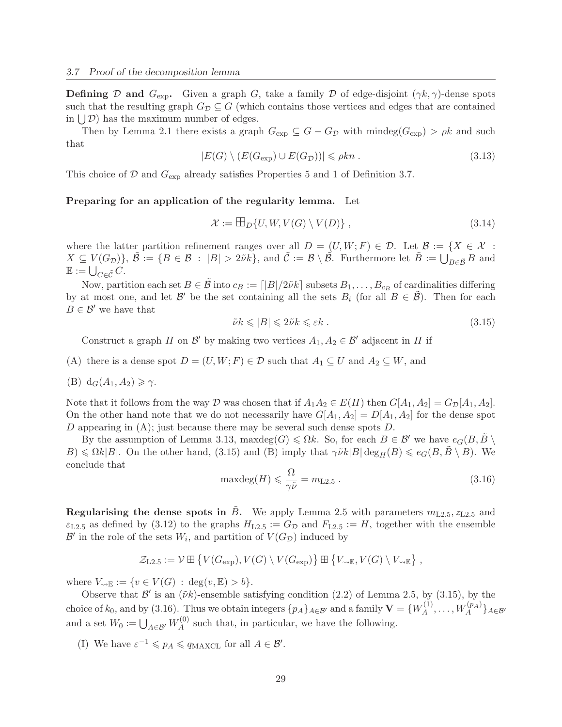**Defining** D and  $G_{\text{exp}}$ . Given a graph G, take a family D of edge-disjoint  $(\gamma k, \gamma)$ -dense spots such that the resulting graph  $G_{\mathcal{D}} \subseteq G$  (which contains those vertices and edges that are contained in  $\bigcup \mathcal{D}$  has the maximum number of edges.

Then by Lemma 2.1 there exists a graph  $G_{\exp} \subseteq G - G_{\mathcal{D}}$  with mindeg $(G_{\exp}) > \rho k$  and such that

$$
|E(G) \setminus (E(G_{\exp}) \cup E(G_{\mathcal{D}}))| \leq \rho k n. \tag{3.13}
$$

This choice of  $\mathcal D$  and  $G_{\text{exp}}$  already satisfies Properties 5 and 1 of Definition 3.7.

## Preparing for an application of the regularity lemma. Let

$$
\mathcal{X} := \boxplus_D \{ U, W, V(G) \setminus V(D) \},\tag{3.14}
$$

where the latter partition refinement ranges over all  $D = (U, W; F) \in \mathcal{D}$ . Let  $\mathcal{B} := \{X \in \mathcal{X} :$  $X \subseteq V(G_{\mathcal{D}})$ ,  $\tilde{\mathcal{B}} := \{ B \in \mathcal{B} : |B| > 2\tilde{\nu}k \}$ , and  $\tilde{\mathcal{C}} := \mathcal{B} \setminus \tilde{\mathcal{B}}$ . Furthermore let  $\tilde{B} := \bigcup_{B \in \tilde{\mathcal{B}}} B$  and  $\mathbb{E} := \bigcup_{C \in \tilde{\mathcal{C}}} C.$ 

Now, partition each set  $B \in \tilde{\mathcal{B}}$  into  $c_B := \lfloor |B|/2\tilde{\nu}k \rfloor$  subsets  $B_1, \ldots, B_{c_B}$  of cardinalities differing by at most one, and let  $\mathcal{B}'$  be the set containing all the sets  $B_i$  (for all  $B \in \tilde{\mathcal{B}}$ ). Then for each  $B \in \mathcal{B}'$  we have that

$$
\tilde{\nu}k \leqslant |B| \leqslant 2\tilde{\nu}k \leqslant \varepsilon k \tag{3.15}
$$

Construct a graph H on  $\mathcal{B}'$  by making two vertices  $A_1, A_2 \in \mathcal{B}'$  adjacent in H if

- (A) there is a dense spot  $D = (U, W; F) \in \mathcal{D}$  such that  $A_1 \subseteq U$  and  $A_2 \subseteq W$ , and
- (B)  $d_G(A_1, A_2) \geq \gamma$ .

Note that it follows from the way D was chosen that if  $A_1A_2 \in E(H)$  then  $G[A_1, A_2] = G_{\mathcal{D}}[A_1, A_2]$ . On the other hand note that we do not necessarily have  $G[A_1, A_2] = D[A_1, A_2]$  for the dense spot D appearing in (A); just because there may be several such dense spots D.

By the assumption of Lemma 3.13, maxdeg(G)  $\leq \Omega k$ . So, for each  $B \in \mathcal{B}'$  we have  $e_G(B, \tilde{B})$  $B) \le \Omega k |B|$ . On the other hand, (3.15) and (B) imply that  $\gamma \tilde{\nu} k |B| \deg_H(B) \le e_G(B, B \setminus B)$ . We conclude that

$$
\text{maxdeg}(H) \leqslant \frac{\Omega}{\gamma \tilde{\nu}} = m_{\text{L2.5}} \,. \tag{3.16}
$$

**Regularising the dense spots in**  $\tilde{B}$ **.** We apply Lemma 2.5 with parameters  $m_{L2.5}$ ,  $z_{L2.5}$  and  $\varepsilon_{L2.5}$  as defined by (3.12) to the graphs  $H_{L2.5} := G_{\mathcal{D}}$  and  $F_{L2.5} := H$ , together with the ensemble  $\mathcal{B}'$  in the role of the sets  $W_i$ , and partition of  $V(G_{\mathcal{D}})$  induced by

$$
\mathcal{Z}_{L2.5} := \mathcal{V} \boxplus \left\{ V(G_{\exp}), V(G) \setminus V(G_{\exp}) \right\} \boxplus \left\{ V_{\exp}, V(G) \setminus V_{\exp} \right\},
$$

where  $V_{\leadsto \mathbb{E}} := \{v \in V(G) : \deg(v, \mathbb{E}) > b\}.$ 

Observe that  $\mathcal{B}'$  is an  $(\tilde{\nu}k)$ -ensemble satisfying condition (2.2) of Lemma 2.5, by (3.15), by the choice of  $k_0$ , and by (3.16). Thus we obtain integers  $\{p_A\}_{A\in\mathcal{B}'}$  and a family  $\mathbf{V} = \{W_A^{(1)}\}$  $W_A^{(1)},\ldots,W_A^{(p_A)}\}_{{A\in\mathcal{B'}}}$ and a set  $W_0 := \bigcup_{A \in \mathcal{B}'} W_A^{(0)}$  $A_A^{(0)}$  such that, in particular, we have the following.

(I) We have  $\varepsilon^{-1} \leqslant p_A \leqslant q_{\text{MAXCL}}$  for all  $A \in \mathcal{B}'$ .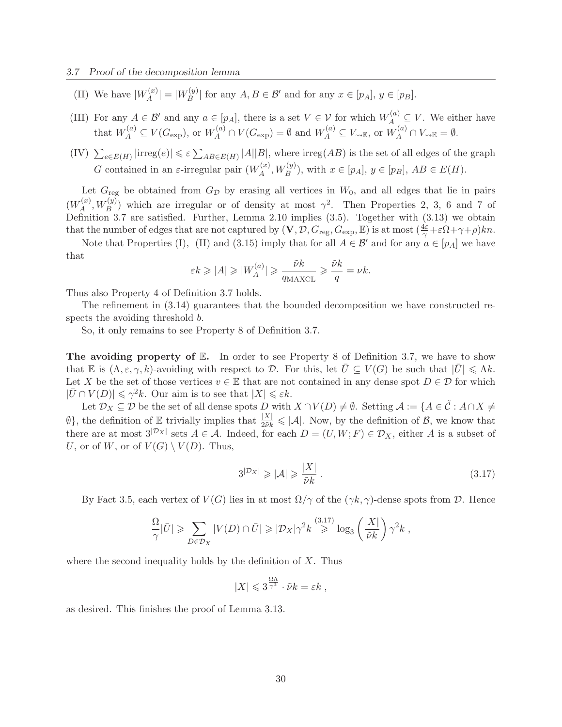- (II) We have  $|W_A^{(x)}|$  $|X_A^{(x)}| = |W_B^{(y)}|$  $|B^{(y)}|$  for any  $A, B \in \mathcal{B}'$  and for any  $x \in [p_A], y \in [p_B].$
- (III) For any  $A \in \mathcal{B}'$  and any  $a \in [p_A]$ , there is a set  $V \in \mathcal{V}$  for which  $W_A^{(a)} \subseteq V$ . We either have that  $W_A^{(a)} \subseteq V(G_{\exp}),$  or  $W_A^{(a)} \cap V(G_{\exp}) = \emptyset$  and  $W_A^{(a)} \subseteq V_{\exp}$ , or  $W_A^{(a)} \cap V_{\exp} = \emptyset$ .
- $(IV)$   $\sum_{e \in E(H)} |irreg(e)| \le \varepsilon \sum_{AB \in E(H)} |A||B|$ , where  $irreg(AB)$  is the set of all edges of the graph G contained in an  $\varepsilon$ -irregular pair  $(W_A^{(x)})$  $\mathcal{H}_A^{(x)}, W_B^{(y)}$ , with  $x \in [p_A], y \in [p_B], AB \in E(H)$ .

Let  $G_{reg}$  be obtained from  $G_{\mathcal{D}}$  by erasing all vertices in  $W_0$ , and all edges that lie in pairs  $(W_A^{(x)}$  $\mathcal{A}_{A}^{(x)}$ ,  $W_{B}^{(y)}$ ) which are irregular or of density at most  $\gamma^2$ . Then Properties 2, 3, 6 and 7 of Definition 3.7 are satisfied. Further, Lemma 2.10 implies (3.5). Together with (3.13) we obtain that the number of edges that are not captured by  $(V, \mathcal{D}, G_{\text{reg}}, G_{\text{exp}}, \mathbb{E})$  is at most  $(\frac{4\varepsilon}{\gamma} + \varepsilon \Omega + \gamma + \rho)kn$ .

Note that Properties (I), (II) and (3.15) imply that for all  $A \in \mathcal{B}'$  and for any  $a \in [p_A]$  we have that

$$
\varepsilon k \ge |A| \ge |W_A^{(a)}| \ge \frac{\tilde{\nu}k}{q_{\text{MAXCL}}} \ge \frac{\tilde{\nu}k}{q} = \nu k.
$$

Thus also Property 4 of Definition 3.7 holds.

The refinement in (3.14) guarantees that the bounded decomposition we have constructed respects the avoiding threshold  $b$ .

So, it only remains to see Property 8 of Definition 3.7.

The avoiding property of  $\mathbb{E}$ . In order to see Property 8 of Definition 3.7, we have to show that E is  $(\Lambda, \varepsilon, \gamma, k)$ -avoiding with respect to D. For this, let  $\overline{U} \subseteq V(G)$  be such that  $|\overline{U}| \leq \Lambda k$ . Let X be the set of those vertices  $v \in \mathbb{E}$  that are not contained in any dense spot  $D \in \mathcal{D}$  for which  $|\bar{U} \cap V(D)| \leq \gamma^2 k$ . Our aim is to see that  $|X| \leq \varepsilon k$ .

Let  $\mathcal{D}_X \subseteq \mathcal{D}$  be the set of all dense spots D with  $X \cap V(D) \neq \emptyset$ . Setting  $\mathcal{A} := \{A \in \tilde{\mathcal{C}} : A \cap X \neq \emptyset\}$  $\emptyset$ , the definition of E trivially implies that  $\frac{|X|}{2\tilde{\nu}k} \leq |\mathcal{A}|$ . Now, by the definition of B, we know that there are at most  $3^{|D_X|}$  sets  $A \in \mathcal{A}$ . Indeed, for each  $D = (U, W; F) \in \mathcal{D}_X$ , either A is a subset of U, or of W, or of  $V(G) \setminus V(D)$ . Thus,

$$
3^{\left|\mathcal{D}_X\right|} \geqslant \left|\mathcal{A}\right| \geqslant \frac{\left|X\right|}{\tilde{\nu}k} \,. \tag{3.17}
$$

By Fact 3.5, each vertex of  $V(G)$  lies in at most  $\Omega/\gamma$  of the  $(\gamma k, \gamma)$ -dense spots from  $\mathcal{D}$ . Hence

$$
\frac{\Omega}{\gamma} |\bar{U}| \geqslant \sum_{D \in \mathcal{D}_X} |V(D) \cap \bar{U}| \geqslant |\mathcal{D}_X|\gamma^2 k \stackrel{(3.17)}{\geqslant} \log_3 \left(\frac{|X|}{\tilde{\nu}k}\right) \gamma^2 k ,
$$

where the second inequality holds by the definition of  $X$ . Thus

$$
|X| \leqslant 3^{\frac{\Omega \Lambda}{\gamma^3}} \cdot \tilde{\nu} k = \varepsilon k \ ,
$$

as desired. This finishes the proof of Lemma 3.13.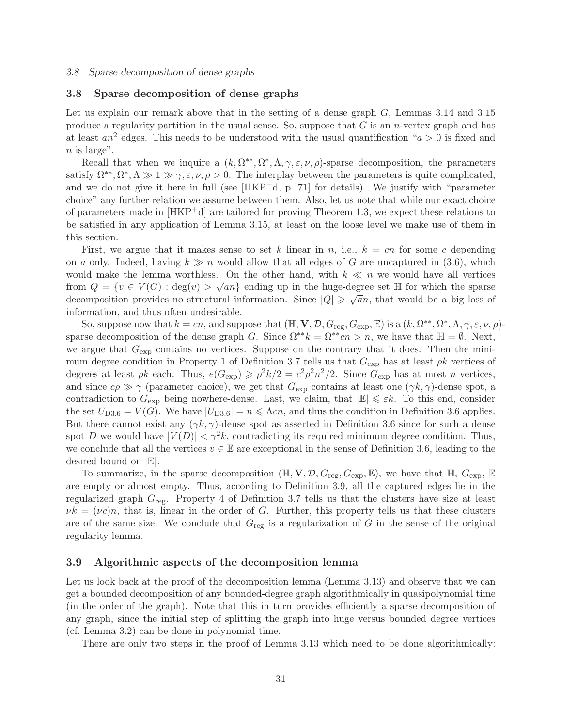#### 3.8 Sparse decomposition of dense graphs

Let us explain our remark above that in the setting of a dense graph G, Lemmas 3.14 and 3.15 produce a regularity partition in the usual sense. So, suppose that  $G$  is an *n*-vertex graph and has at least  $an^2$  edges. This needs to be understood with the usual quantification " $a > 0$  is fixed and  $n$  is large".

Recall that when we inquire a  $(k, \Omega^{**}, \Omega^*, \Lambda, \gamma, \varepsilon, \nu, \rho)$ -sparse decomposition, the parameters satisfy  $\Omega^{**}, \Omega^*, \Lambda \gg 1 \gg \gamma, \varepsilon, \nu, \rho > 0$ . The interplay between the parameters is quite complicated, and we do not give it here in full (see  $[HKP^+d, p. 71]$  for details). We justify with "parameter choice" any further relation we assume between them. Also, let us note that while our exact choice of parameters made in [HKP+d] are tailored for proving Theorem 1.3, we expect these relations to be satisfied in any application of Lemma 3.15, at least on the loose level we make use of them in this section.

First, we argue that it makes sense to set k linear in n, i.e.,  $k = cn$  for some c depending on a only. Indeed, having  $k \gg n$  would allow that all edges of G are uncaptured in (3.6), which would make the lemma worthless. On the other hand, with  $k \ll n$  we would have all vertices from  $Q = \{v \in V(G) : \text{deg}(v) > \sqrt{a}n\}$  ending up in the huge-degree set  $\mathbb H$  for which the sparse decomposition provides no structural information. Since  $|Q| \ge \sqrt{a}n$ , that would be a big loss of information, and thus often undesirable.

So, suppose now that  $k = cn$ , and suppose that  $(\mathbb{H}, \mathbf{V}, \mathcal{D}, G_{reg}, G_{exp}, \mathbb{E})$  is a  $(k, \Omega^{**}, \Omega^*, \Lambda, \gamma, \varepsilon, \nu, \rho)$ sparse decomposition of the dense graph G. Since  $\Omega^{**}k = \Omega^{**}c n > n$ , we have that  $\mathbb{H} = \emptyset$ . Next, we argue that  $G_{\text{exp}}$  contains no vertices. Suppose on the contrary that it does. Then the minimum degree condition in Property 1 of Definition 3.7 tells us that  $G_{\rm exp}$  has at least  $\rho k$  vertices of degrees at least  $\rho k$  each. Thus,  $e(G_{\rm exp}) \geq \rho^2 k/2 = c^2 \rho^2 n^2/2$ . Since  $G_{\rm exp}$  has at most *n* vertices, and since  $c\rho \gg \gamma$  (parameter choice), we get that  $G_{\text{exp}}$  contains at least one  $(\gamma k, \gamma)$ -dense spot, a contradiction to  $G_{\text{exp}}$  being nowhere-dense. Last, we claim, that  $|\mathbb{E}| \leq \varepsilon k$ . To this end, consider the set  $U_{D3.6} = V(G)$ . We have  $|U_{D3.6}| = n \leq \Lambda cn$ , and thus the condition in Definition 3.6 applies. But there cannot exist any  $(\gamma k, \gamma)$ -dense spot as asserted in Definition 3.6 since for such a dense spot D we would have  $|V(D)| < \gamma^2 k$ , contradicting its required minimum degree condition. Thus, we conclude that all the vertices  $v \in \mathbb{E}$  are exceptional in the sense of Definition 3.6, leading to the desired bound on |E|.

To summarize, in the sparse decomposition  $(\mathbb{H}, \mathbf{V}, \mathcal{D}, G_{\text{reg}}, G_{\text{exp}}, \mathbb{E})$ , we have that  $\mathbb{H}, G_{\text{exp}}, \mathbb{E}$ are empty or almost empty. Thus, according to Definition 3.9, all the captured edges lie in the regularized graph  $G_{\text{reg}}$ . Property 4 of Definition 3.7 tells us that the clusters have size at least  $\nu k = (\nu c)n$ , that is, linear in the order of G. Further, this property tells us that these clusters are of the same size. We conclude that  $G_{reg}$  is a regularization of G in the sense of the original regularity lemma.

### 3.9 Algorithmic aspects of the decomposition lemma

Let us look back at the proof of the decomposition lemma (Lemma 3.13) and observe that we can get a bounded decomposition of any bounded-degree graph algorithmically in quasipolynomial time (in the order of the graph). Note that this in turn provides efficiently a sparse decomposition of any graph, since the initial step of splitting the graph into huge versus bounded degree vertices (cf. Lemma 3.2) can be done in polynomial time.

There are only two steps in the proof of Lemma 3.13 which need to be done algorithmically: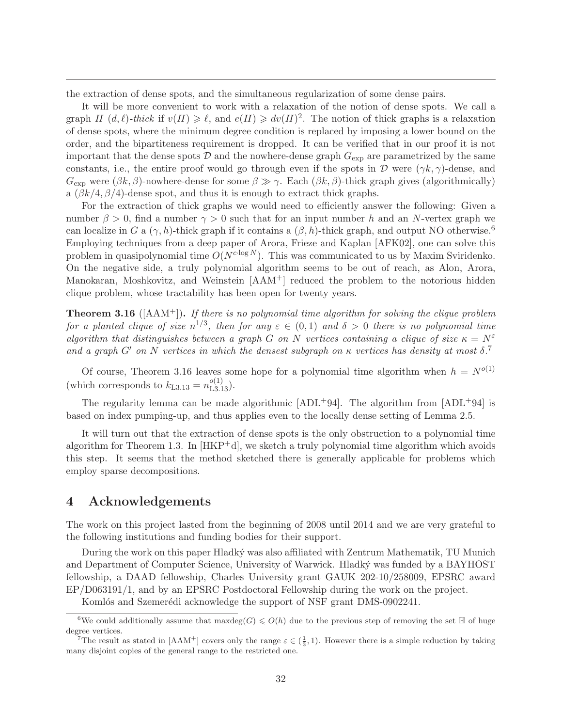the extraction of dense spots, and the simultaneous regularization of some dense pairs.

It will be more convenient to work with a relaxation of the notion of dense spots. We call a graph H  $(d, \ell)$ -thick if  $v(H) \geq \ell$ , and  $e(H) \geq dv(H)^2$ . The notion of thick graphs is a relaxation of dense spots, where the minimum degree condition is replaced by imposing a lower bound on the order, and the bipartiteness requirement is dropped. It can be verified that in our proof it is not important that the dense spots  $D$  and the nowhere-dense graph  $G_{\text{exp}}$  are parametrized by the same constants, i.e., the entire proof would go through even if the spots in  $\mathcal D$  were  $(\gamma k, \gamma)$ -dense, and  $G_{\text{exp}}$  were  $(\beta k, \beta)$ -nowhere-dense for some  $\beta \gg \gamma$ . Each  $(\beta k, \beta)$ -thick graph gives (algorithmically) a  $(\beta k/4, \beta/4)$ -dense spot, and thus it is enough to extract thick graphs.

For the extraction of thick graphs we would need to efficiently answer the following: Given a number  $\beta > 0$ , find a number  $\gamma > 0$  such that for an input number h and an N-vertex graph we can localize in G a  $(\gamma, h)$ -thick graph if it contains a  $(\beta, h)$ -thick graph, and output NO otherwise.<sup>6</sup> Employing techniques from a deep paper of Arora, Frieze and Kaplan [AFK02], one can solve this problem in quasipolynomial time  $O(N^{c \cdot \log N})$ . This was communicated to us by Maxim Sviridenko. On the negative side, a truly polynomial algorithm seems to be out of reach, as Alon, Arora, Manokaran, Moshkovitz, and Weinstein [AAM+] reduced the problem to the notorious hidden clique problem, whose tractability has been open for twenty years.

Theorem 3.16 ([AAM+]). *If there is no polynomial time algorithm for solving the clique problem for a planted clique of size*  $n^{1/3}$ , then for any  $\varepsilon \in (0,1)$  and  $\delta > 0$  there is no polynomial time *algorithm that distinguishes between a graph* G *on* N *vertices containing a clique of size*  $\kappa = N^{\varepsilon}$ and a graph  $G'$  on  $N$  *vertices in which the densest subgraph on*  $\kappa$  *vertices has density at most*  $\delta$ <sup>7</sup>

Of course, Theorem 3.16 leaves some hope for a polynomial time algorithm when  $h = N^{o(1)}$ (which corresponds to  $k_{L3.13} = n_{L3.13}^{o(1)}$ ).

The regularity lemma can be made algorithmic  $[ADL+94]$ . The algorithm from  $[ADL+94]$  is based on index pumping-up, and thus applies even to the locally dense setting of Lemma 2.5.

It will turn out that the extraction of dense spots is the only obstruction to a polynomial time algorithm for Theorem 1.3. In  $[HKP^+d]$ , we sketch a truly polynomial time algorithm which avoids this step. It seems that the method sketched there is generally applicable for problems which employ sparse decompositions.

# 4 Acknowledgements

The work on this project lasted from the beginning of 2008 until 2014 and we are very grateful to the following institutions and funding bodies for their support.

During the work on this paper Hladký was also affiliated with Zentrum Mathematik, TU Munich and Department of Computer Science, University of Warwick. Hladký was funded by a BAYHOST fellowship, a DAAD fellowship, Charles University grant GAUK 202-10/258009, EPSRC award EP/D063191/1, and by an EPSRC Postdoctoral Fellowship during the work on the project.

Komlós and Szemerédi acknowledge the support of NSF grant DMS-0902241.

<sup>&</sup>lt;sup>6</sup>We could additionally assume that maxdeg(G)  $\leq O(h)$  due to the previous step of removing the set H of huge degree vertices.

<sup>&</sup>lt;sup>7</sup>The result as stated in [AAM<sup>+</sup>] covers only the range  $\varepsilon \in (\frac{1}{3}, 1)$ . However there is a simple reduction by taking many disjoint copies of the general range to the restricted one.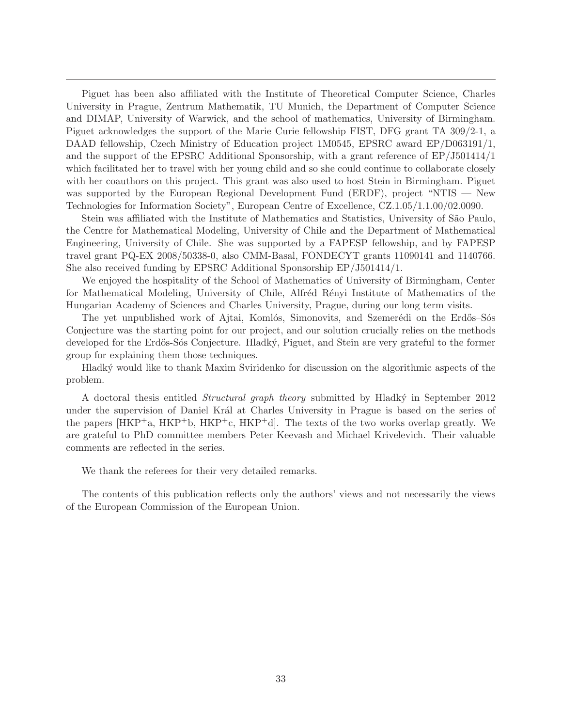Piguet has been also affiliated with the Institute of Theoretical Computer Science, Charles University in Prague, Zentrum Mathematik, TU Munich, the Department of Computer Science and DIMAP, University of Warwick, and the school of mathematics, University of Birmingham. Piguet acknowledges the support of the Marie Curie fellowship FIST, DFG grant TA 309/2-1, a DAAD fellowship, Czech Ministry of Education project 1M0545, EPSRC award EP/D063191/1, and the support of the EPSRC Additional Sponsorship, with a grant reference of EP/J501414/1 which facilitated her to travel with her young child and so she could continue to collaborate closely with her coauthors on this project. This grant was also used to host Stein in Birmingham. Piguet was supported by the European Regional Development Fund (ERDF), project "NTIS — New Technologies for Information Society", European Centre of Excellence, CZ.1.05/1.1.00/02.0090.

Stein was affiliated with the Institute of Mathematics and Statistics, University of São Paulo, the Centre for Mathematical Modeling, University of Chile and the Department of Mathematical Engineering, University of Chile. She was supported by a FAPESP fellowship, and by FAPESP travel grant PQ-EX 2008/50338-0, also CMM-Basal, FONDECYT grants 11090141 and 1140766. She also received funding by EPSRC Additional Sponsorship EP/J501414/1.

We enjoyed the hospitality of the School of Mathematics of University of Birmingham, Center for Mathematical Modeling, University of Chile, Alfréd Rényi Institute of Mathematics of the Hungarian Academy of Sciences and Charles University, Prague, during our long term visits.

The yet unpublished work of Ajtai, Komlós, Simonovits, and Szemerédi on the Erdős–Sós Conjecture was the starting point for our project, and our solution crucially relies on the methods developed for the Erdős-Sós Conjecture. Hladký, Piguet, and Stein are very grateful to the former group for explaining them those techniques.

Hladk´y would like to thank Maxim Sviridenko for discussion on the algorithmic aspects of the problem.

A doctoral thesis entitled *Structural graph theory* submitted by Hladky in September 2012 under the supervision of Daniel Král at Charles University in Prague is based on the series of the papers  $[HKP^+a, HKP^+b, HKP^+c, HKP^+d]$ . The texts of the two works overlap greatly. We are grateful to PhD committee members Peter Keevash and Michael Krivelevich. Their valuable comments are reflected in the series.

We thank the referees for their very detailed remarks.

The contents of this publication reflects only the authors' views and not necessarily the views of the European Commission of the European Union.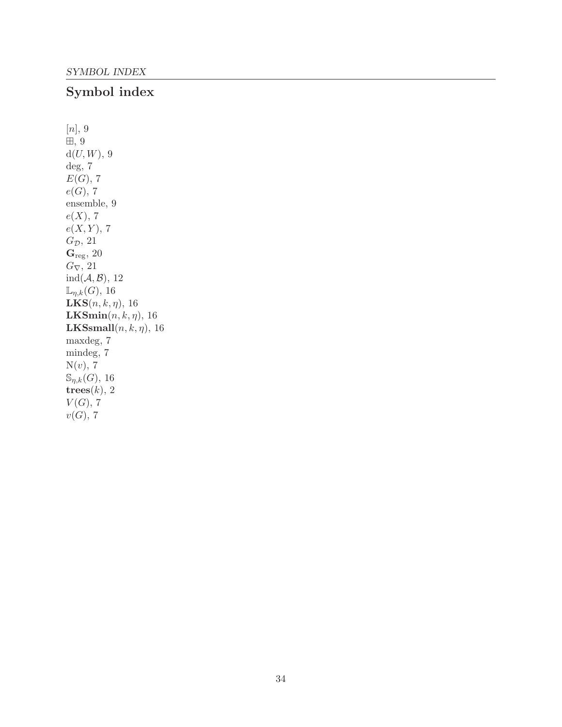# Symbol index

 $[n], 9$ ⊞, 9  $d(U, W)$ , 9 deg, 7  $E(G)$ , 7  $e(G), 7$ ensemble, 9  $e(X)$ , 7  $e(X, Y)$ , 7  $G_{\mathcal{D}}$ , 21  $\mathbf{G}_{\text{reg}},\,20$  $G_{\nabla}$ , 21  $ind(A, B), 12$  $\mathbb{L}_{\eta,k}(G)$ , 16 **, 16**  $LKSmin(n, k, \eta)$ , 16 **LKSsmall** $(n, k, \eta)$ , 16 maxdeg, 7 mindeg, 7  $N(v)$ , 7  $\mathbb{S}_{\eta,k}(G)$ , 16 trees $(k)$ , 2  $V(G)$ , 7  $v(G)$ , 7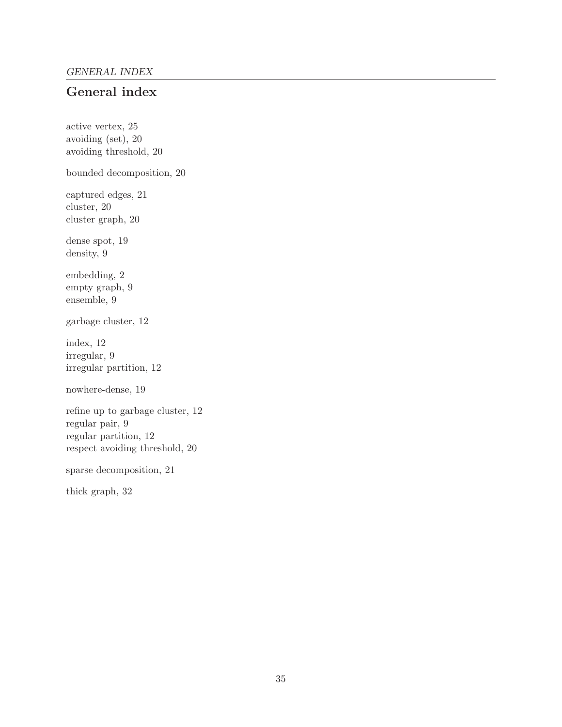# General index

active vertex, 25 avoiding (set), 20 avoiding threshold, 20 bounded decomposition, 20 captured edges, 21 cluster, 20 cluster graph, 20 dense spot, 19 density, 9 embedding, 2 empty graph, 9 ensemble, 9 garbage cluster, 12 index, 12 irregular, 9 irregular partition, 12 nowhere-dense, 19 refine up to garbage cluster, 12 regular pair, 9 regular partition, 12 respect avoiding threshold, 20 sparse decomposition, 21 thick graph, 32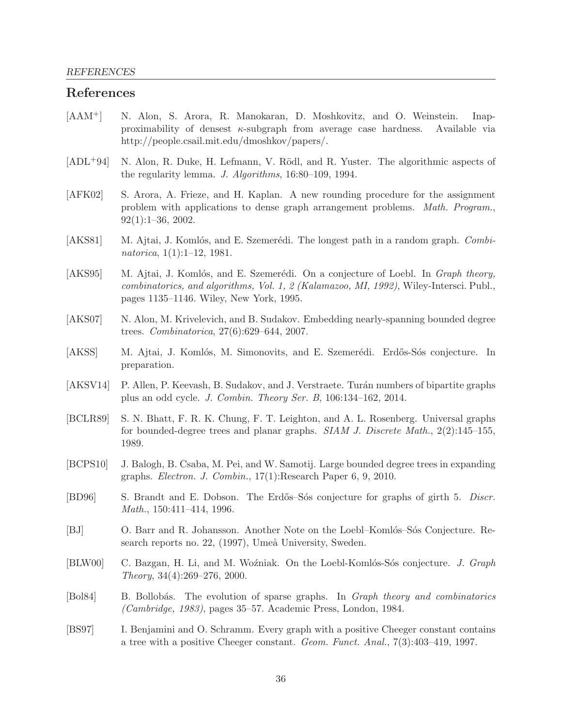# References

- [AAM+] N. Alon, S. Arora, R. Manokaran, D. Moshkovitz, and O. Weinstein. Inapproximability of densest  $\kappa$ -subgraph from average case hardness. Available via http://people.csail.mit.edu/dmoshkov/papers/.
- [ADL<sup>+</sup>94] N. Alon, R. Duke, H. Lefmann, V. Rödl, and R. Yuster. The algorithmic aspects of the regularity lemma. *J. Algorithms*, 16:80–109, 1994.
- [AFK02] S. Arora, A. Frieze, and H. Kaplan. A new rounding procedure for the assignment problem with applications to dense graph arrangement problems. *Math. Program.*, 92(1):1–36, 2002.
- [AKS81] M. Ajtai, J. Komlós, and E. Szemerédi. The longest path in a random graph. *Combinatorica*, 1(1):1–12, 1981.
- [AKS95] M. Ajtai, J. Komlós, and E. Szemerédi. On a conjecture of Loebl. In *Graph theory*, *combinatorics, and algorithms, Vol. 1, 2 (Kalamazoo, MI, 1992)*, Wiley-Intersci. Publ., pages 1135–1146. Wiley, New York, 1995.
- [AKS07] N. Alon, M. Krivelevich, and B. Sudakov. Embedding nearly-spanning bounded degree trees. *Combinatorica*, 27(6):629–644, 2007.
- [AKSS] M. Ajtai, J. Komlós, M. Simonovits, and E. Szemerédi. Erdős-Sós conjecture. In preparation.
- [AKSV14] P. Allen, P. Keevash, B. Sudakov, and J. Verstraete. Turán numbers of bipartite graphs plus an odd cycle. *J. Combin. Theory Ser. B*, 106:134–162, 2014.
- [BCLR89] S. N. Bhatt, F. R. K. Chung, F. T. Leighton, and A. L. Rosenberg. Universal graphs for bounded-degree trees and planar graphs. *SIAM J. Discrete Math.*, 2(2):145–155, 1989.
- [BCPS10] J. Balogh, B. Csaba, M. Pei, and W. Samotij. Large bounded degree trees in expanding graphs. *Electron. J. Combin.*, 17(1):Research Paper 6, 9, 2010.
- [BD96] S. Brandt and E. Dobson. The Erdős–Sós conjecture for graphs of girth 5. *Discr. Math.*, 150:411–414, 1996.
- [BJ] O. Barr and R. Johansson. Another Note on the Loebl–Komlós–Sós Conjecture. Research reports no. 22, (1997), Umeå University, Sweden.
- [BLW00] C. Bazgan, H. Li, and M. Wo´zniak. On the Loebl-Koml´os-S´os conjecture. *J. Graph Theory*, 34(4):269–276, 2000.
- [Bol84] B. Bollob´as. The evolution of sparse graphs. In *Graph theory and combinatorics (Cambridge, 1983)*, pages 35–57. Academic Press, London, 1984.
- [BS97] I. Benjamini and O. Schramm. Every graph with a positive Cheeger constant contains a tree with a positive Cheeger constant. *Geom. Funct. Anal.*, 7(3):403–419, 1997.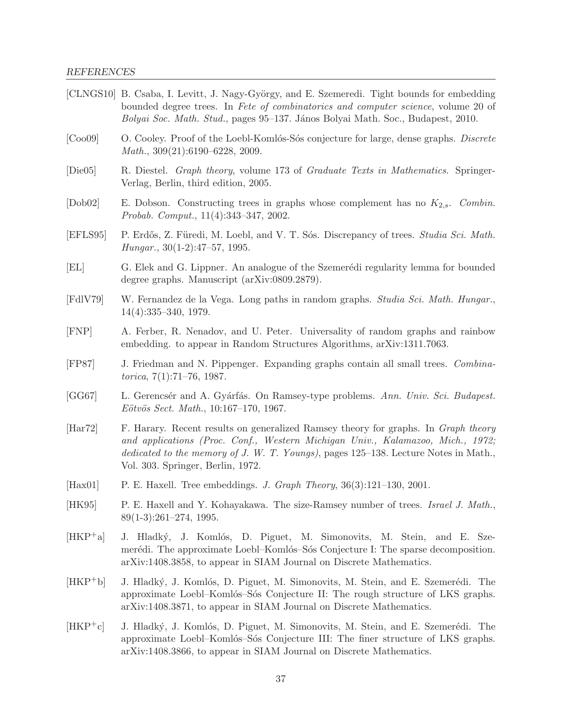[CLNGS10] B. Csaba, I. Levitt, J. Nagy-György, and E. Szemeredi. Tight bounds for embedding bounded degree trees. In *Fete of combinatorics and computer science*, volume 20 of *Bolyai Soc. Math. Stud.*, pages 95–137. János Bolyai Math. Soc., Budapest, 2010. [Coo09] O. Cooley. Proof of the Loebl-Koml´os-S´os conjecture for large, dense graphs. *Discrete Math.*, 309(21):6190–6228, 2009. [Die05] R. Diestel. *Graph theory*, volume 173 of *Graduate Texts in Mathematics*. Springer-Verlag, Berlin, third edition, 2005. [Dob02] E. Dobson. Constructing trees in graphs whose complement has no K2,s. *Combin. Probab. Comput.*, 11(4):343–347, 2002. [EFLS95] P. Erdős, Z. Füredi, M. Loebl, and V. T. Sós. Discrepancy of trees. *Studia Sci. Math. Hungar.*, 30(1-2):47–57, 1995. [EL] G. Elek and G. Lippner. An analogue of the Szemerédi regularity lemma for bounded degree graphs. Manuscript (arXiv:0809.2879). [FdlV79] W. Fernandez de la Vega. Long paths in random graphs. *Studia Sci. Math. Hungar.*, 14(4):335–340, 1979. [FNP] A. Ferber, R. Nenadov, and U. Peter. Universality of random graphs and rainbow embedding. to appear in Random Structures Algorithms, arXiv:1311.7063. [FP87] J. Friedman and N. Pippenger. Expanding graphs contain all small trees. *Combinatorica*, 7(1):71–76, 1987. [GG67] L. Gerencs´er and A. Gy´arf´as. On Ramsey-type problems. *Ann. Univ. Sci. Budapest. E¨otv¨os Sect. Math.*, 10:167–170, 1967. [Har72] F. Harary. Recent results on generalized Ramsey theory for graphs. In *Graph theory and applications (Proc. Conf., Western Michigan Univ., Kalamazoo, Mich., 1972; dedicated to the memory of J. W. T. Youngs)*, pages 125–138. Lecture Notes in Math., Vol. 303. Springer, Berlin, 1972. [Hax01] P. E. Haxell. Tree embeddings. *J. Graph Theory*, 36(3):121–130, 2001. [HK95] P. E. Haxell and Y. Kohayakawa. The size-Ramsey number of trees. *Israel J. Math.*, 89(1-3):261–274, 1995. [HKP<sup>+</sup>a] J. Hladký, J. Komlós, D. Piguet, M. Simonovits, M. Stein, and E. Szemerédi. The approximate Loebl–Komlós–Sós Conjecture I: The sparse decomposition. arXiv:1408.3858, to appear in SIAM Journal on Discrete Mathematics. [HKP<sup>+</sup>b] J. Hladký, J. Komlós, D. Piguet, M. Simonovits, M. Stein, and E. Szemerédi. The approximate Loebl–Komlós–Sós Conjecture II: The rough structure of LKS graphs. arXiv:1408.3871, to appear in SIAM Journal on Discrete Mathematics.  $[HKP^+c]$  J. Hladký, J. Komlós, D. Piguet, M. Simonovits, M. Stein, and E. Szemerédi. The approximate Loebl–Komlós–Sós Conjecture III: The finer structure of LKS graphs. arXiv:1408.3866, to appear in SIAM Journal on Discrete Mathematics.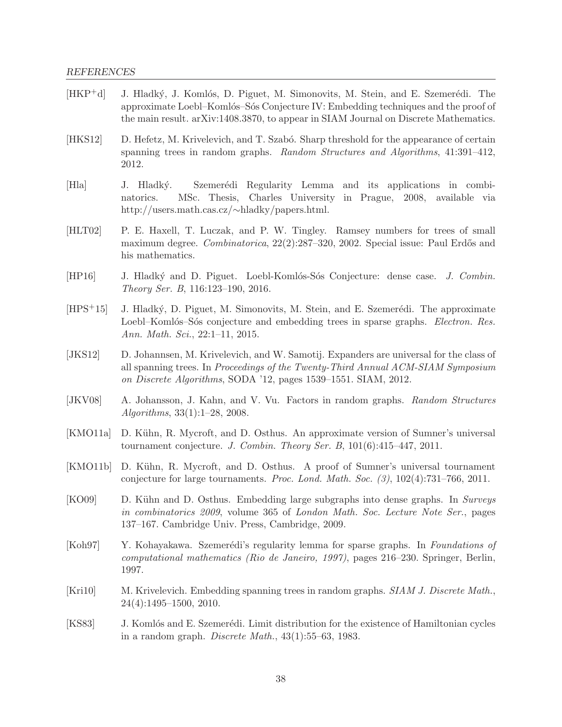# REFERENCES

| $[HKP^+d]$ | J. Hladký, J. Komlós, D. Piguet, M. Simonovits, M. Stein, and E. Szemerédi. The<br>approximate Loebl-Komlós-Sós Conjecture IV: Embedding techniques and the proof of<br>the main result. arXiv:1408.3870, to appear in SIAM Journal on Discrete Mathematics. |
|------------|--------------------------------------------------------------------------------------------------------------------------------------------------------------------------------------------------------------------------------------------------------------|
| [HKS12]    | D. Hefetz, M. Krivelevich, and T. Szabó. Sharp threshold for the appearance of certain<br>spanning trees in random graphs. Random Structures and Algorithms, 41:391-412,<br>2012.                                                                            |
| [Hla]      | Szemerédi Regularity Lemma and its applications in combi-<br>J. Hladký.<br>MSc. Thesis, Charles University in Prague, 2008, available via<br>natorics.<br>http://users.math.cas.cz/ $\sim$ hladky/papers.html.                                               |
| [HLT02]    | P. E. Haxell, T. Luczak, and P. W. Tingley. Ramsey numbers for trees of small<br>maximum degree. Combinatorica, 22(2):287-320, 2002. Special issue: Paul Erdős and<br>his mathematics.                                                                       |
| [HP16]     | J. Hladký and D. Piguet. Loebl-Komlós-Sós Conjecture: dense case. J. Combin.<br>Theory Ser. B, 116:123-190, 2016.                                                                                                                                            |
| $[HPS+15]$ | J. Hladký, D. Piguet, M. Simonovits, M. Stein, and E. Szemerédi. The approximate<br>Loebl-Komlós-Sós conjecture and embedding trees in sparse graphs. <i>Electron. Res.</i><br>Ann. Math. Sci., 22:1-11, 2015.                                               |
| [JKS12]    | D. Johannsen, M. Krivelevich, and W. Samotij. Expanders are universal for the class of<br>all spanning trees. In Proceedings of the Twenty-Third Annual ACM-SIAM Symposium<br>on Discrete Algorithms, SODA '12, pages 1539–1551. SIAM, 2012.                 |
| [JKV08]    | A. Johansson, J. Kahn, and V. Vu. Factors in random graphs. Random Structures<br>$Algorithms, 33(1):1-28, 2008.$                                                                                                                                             |
| [KMO11a]   | D. Kühn, R. Mycroft, and D. Osthus. An approximate version of Sumner's universal<br>tournament conjecture. J. Combin. Theory Ser. B, $101(6):415-447$ , $2011$ .                                                                                             |
| [KMO11b]   | D. Kühn, R. Mycroft, and D. Osthus. A proof of Sumner's universal tournament<br>conjecture for large tournaments. Proc. Lond. Math. Soc. $(3)$ , $102(4):731-766$ , $2011$ .                                                                                 |
| [KO09]     | D. Kühn and D. Osthus. Embedding large subgraphs into dense graphs. In Surveys<br>in combinatorics 2009, volume 365 of London Math. Soc. Lecture Note Ser., pages<br>137-167. Cambridge Univ. Press, Cambridge, 2009.                                        |
| [Koh97]    | Y. Kohayakawa. Szemerédi's regularity lemma for sparse graphs. In Foundations of<br>computational mathematics (Rio de Janeiro, 1997), pages 216-230. Springer, Berlin,<br>1997.                                                                              |
| [Kri10]    | M. Krivelevich. Embedding spanning trees in random graphs. SIAM J. Discrete Math.,<br>$24(4):1495-1500, 2010.$                                                                                                                                               |
| [KS83]     | J. Komlós and E. Szemerédi. Limit distribution for the existence of Hamiltonian cycles<br>in a random graph. Discrete Math., $43(1):55-63$ , 1983.                                                                                                           |
|            |                                                                                                                                                                                                                                                              |